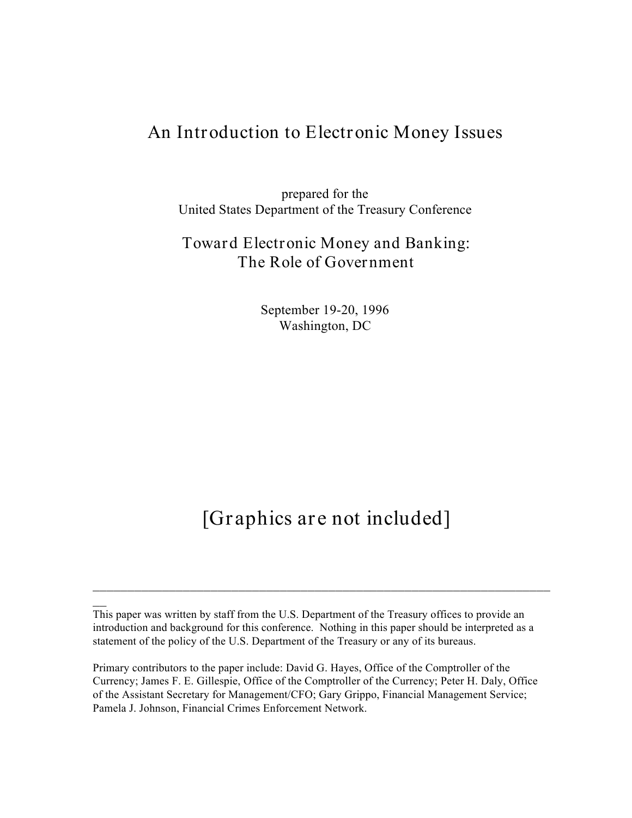# **An Introduction to Electronic Money Issues**

prepared for the United States Department of the Treasury Conference

## **Toward Electronic Money and Banking: The Role of Government**

September 19-20, 1996 Washington, DC

# **[Graphics are not included]**

 $\overline{\phantom{a}}$ 

This paper was written by staff from the U.S. Department of the Treasury offices to provide an introduction and background for this conference. Nothing in this paper should be interpreted as a statement of the policy of the U.S. Department of the Treasury or any of its bureaus.

Primary contributors to the paper include: David G. Hayes, Office of the Comptroller of the Currency; James F. E. Gillespie, Office of the Comptroller of the Currency; Peter H. Daly, Office of the Assistant Secretary for Management/CFO; Gary Grippo, Financial Management Service; Pamela J. Johnson, Financial Crimes Enforcement Network.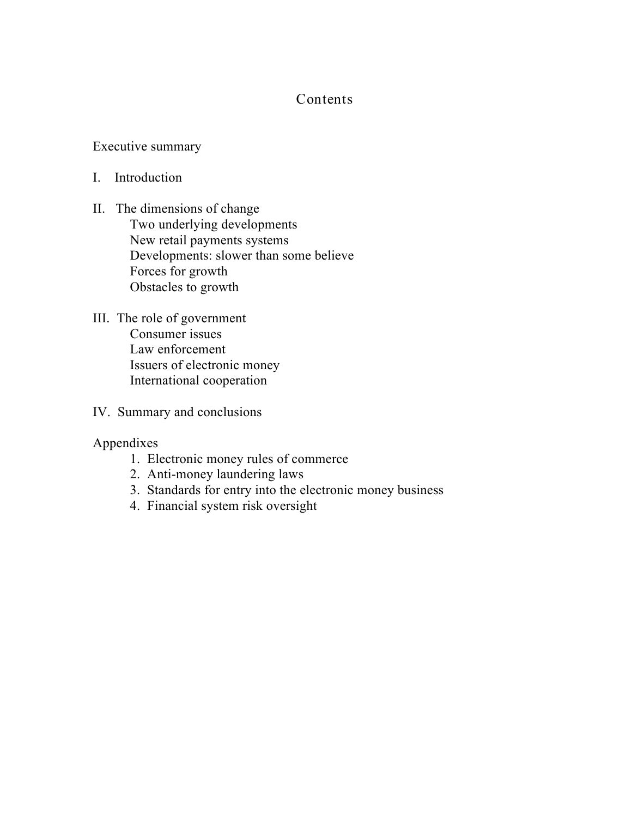### **Contents**

#### Executive summary

- I. Introduction
- II. The dimensions of change Two underlying developments New retail payments systems Developments: slower than some believe Forces for growth Obstacles to growth
- III. The role of government Consumer issues Law enforcement Issuers of electronic money International cooperation
- IV. Summary and conclusions
- Appendixes
	- 1. Electronic money rules of commerce
	- 2. Anti-money laundering laws
	- 3. Standards for entry into the electronic money business
	- 4. Financial system risk oversight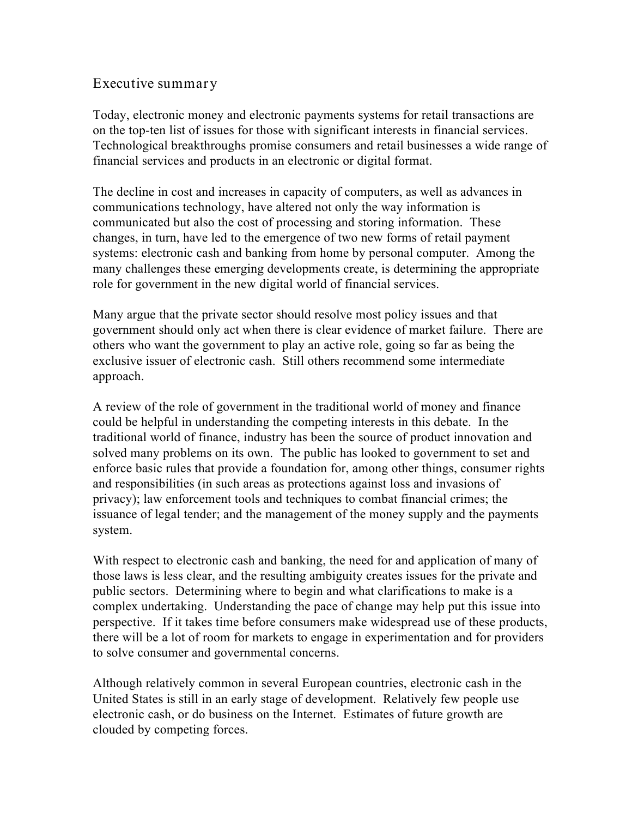### **Executive summary**

Today, electronic money and electronic payments systems for retail transactions are on the top-ten list of issues for those with significant interests in financial services. Technological breakthroughs promise consumers and retail businesses a wide range of financial services and products in an electronic or digital format.

The decline in cost and increases in capacity of computers, as well as advances in communications technology, have altered not only the way information is communicated but also the cost of processing and storing information. These changes, in turn, have led to the emergence of two new forms of retail payment systems: electronic cash and banking from home by personal computer. Among the many challenges these emerging developments create, is determining the appropriate role for government in the new digital world of financial services.

Many argue that the private sector should resolve most policy issues and that government should only act when there is clear evidence of market failure. There are others who want the government to play an active role, going so far as being the exclusive issuer of electronic cash. Still others recommend some intermediate approach.

A review of the role of government in the traditional world of money and finance could be helpful in understanding the competing interests in this debate. In the traditional world of finance, industry has been the source of product innovation and solved many problems on its own. The public has looked to government to set and enforce basic rules that provide a foundation for, among other things, consumer rights and responsibilities (in such areas as protections against loss and invasions of privacy); law enforcement tools and techniques to combat financial crimes; the issuance of legal tender; and the management of the money supply and the payments system.

With respect to electronic cash and banking, the need for and application of many of those laws is less clear, and the resulting ambiguity creates issues for the private and public sectors. Determining where to begin and what clarifications to make is a complex undertaking. Understanding the pace of change may help put this issue into perspective. If it takes time before consumers make widespread use of these products, there will be a lot of room for markets to engage in experimentation and for providers to solve consumer and governmental concerns.

Although relatively common in several European countries, electronic cash in the United States is still in an early stage of development. Relatively few people use electronic cash, or do business on the Internet. Estimates of future growth are clouded by competing forces.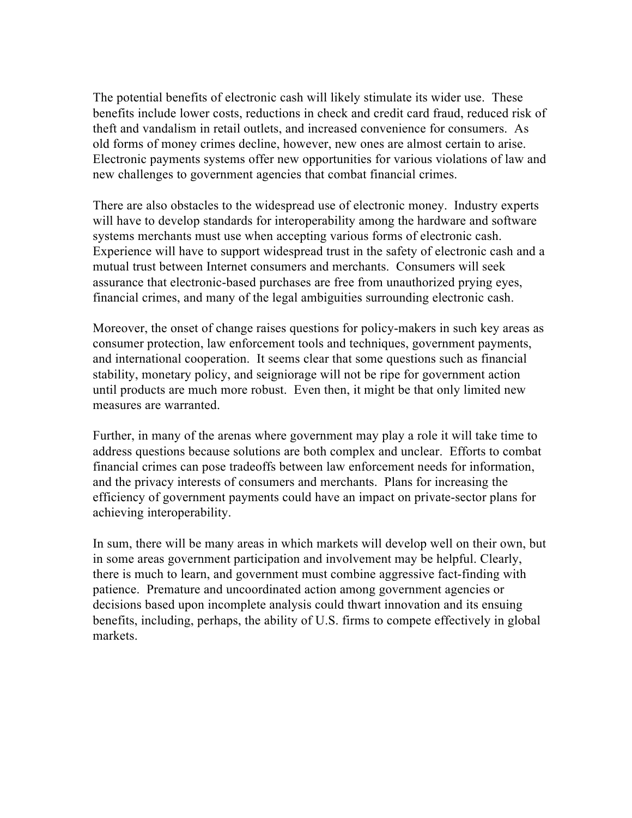The potential benefits of electronic cash will likely stimulate its wider use. These benefits include lower costs, reductions in check and credit card fraud, reduced risk of theft and vandalism in retail outlets, and increased convenience for consumers. As old forms of money crimes decline, however, new ones are almost certain to arise. Electronic payments systems offer new opportunities for various violations of law and new challenges to government agencies that combat financial crimes.

There are also obstacles to the widespread use of electronic money. Industry experts will have to develop standards for interoperability among the hardware and software systems merchants must use when accepting various forms of electronic cash. Experience will have to support widespread trust in the safety of electronic cash and a mutual trust between Internet consumers and merchants. Consumers will seek assurance that electronic-based purchases are free from unauthorized prying eyes, financial crimes, and many of the legal ambiguities surrounding electronic cash.

Moreover, the onset of change raises questions for policy-makers in such key areas as consumer protection, law enforcement tools and techniques, government payments, and international cooperation. It seems clear that some questions such as financial stability, monetary policy, and seigniorage will not be ripe for government action until products are much more robust. Even then, it might be that only limited new measures are warranted.

Further, in many of the arenas where government may play a role it will take time to address questions because solutions are both complex and unclear. Efforts to combat financial crimes can pose tradeoffs between law enforcement needs for information, and the privacy interests of consumers and merchants. Plans for increasing the efficiency of government payments could have an impact on private-sector plans for achieving interoperability.

In sum, there will be many areas in which markets will develop well on their own, but in some areas government participation and involvement may be helpful. Clearly, there is much to learn, and government must combine aggressive fact-finding with patience. Premature and uncoordinated action among government agencies or decisions based upon incomplete analysis could thwart innovation and its ensuing benefits, including, perhaps, the ability of U.S. firms to compete effectively in global markets.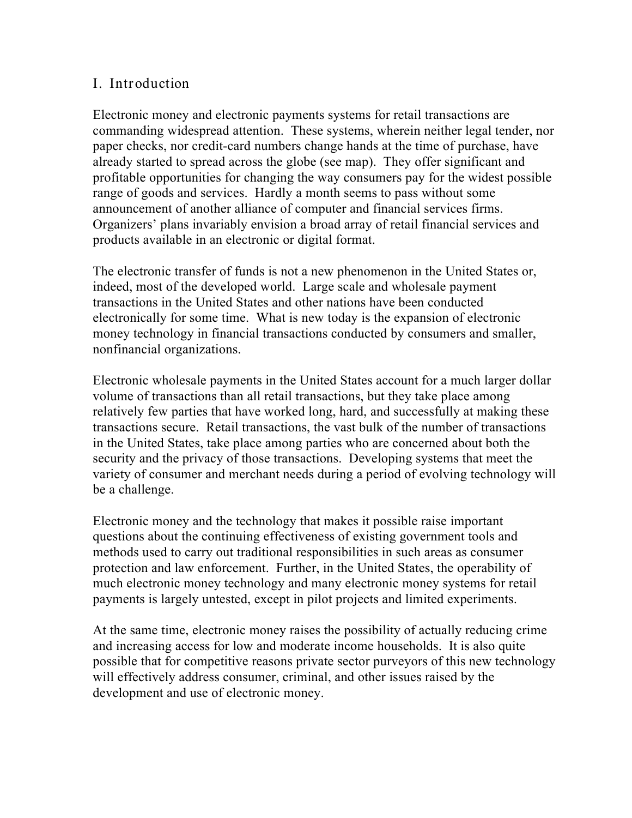### **I. Introduction**

Electronic money and electronic payments systems for retail transactions are commanding widespread attention. These systems, wherein neither legal tender, nor paper checks, nor credit-card numbers change hands at the time of purchase, have already started to spread across the globe (see map). They offer significant and profitable opportunities for changing the way consumers pay for the widest possible range of goods and services. Hardly a month seems to pass without some announcement of another alliance of computer and financial services firms. Organizers' plans invariably envision a broad array of retail financial services and products available in an electronic or digital format.

The electronic transfer of funds is not a new phenomenon in the United States or, indeed, most of the developed world. Large scale and wholesale payment transactions in the United States and other nations have been conducted electronically for some time. What is new today is the expansion of electronic money technology in financial transactions conducted by consumers and smaller, nonfinancial organizations.

Electronic wholesale payments in the United States account for a much larger dollar volume of transactions than all retail transactions, but they take place among relatively few parties that have worked long, hard, and successfully at making these transactions secure. Retail transactions, the vast bulk of the number of transactions in the United States, take place among parties who are concerned about both the security and the privacy of those transactions. Developing systems that meet the variety of consumer and merchant needs during a period of evolving technology will be a challenge.

Electronic money and the technology that makes it possible raise important questions about the continuing effectiveness of existing government tools and methods used to carry out traditional responsibilities in such areas as consumer protection and law enforcement. Further, in the United States, the operability of much electronic money technology and many electronic money systems for retail payments is largely untested, except in pilot projects and limited experiments.

At the same time, electronic money raises the possibility of actually reducing crime and increasing access for low and moderate income households. It is also quite possible that for competitive reasons private sector purveyors of this new technology will effectively address consumer, criminal, and other issues raised by the development and use of electronic money.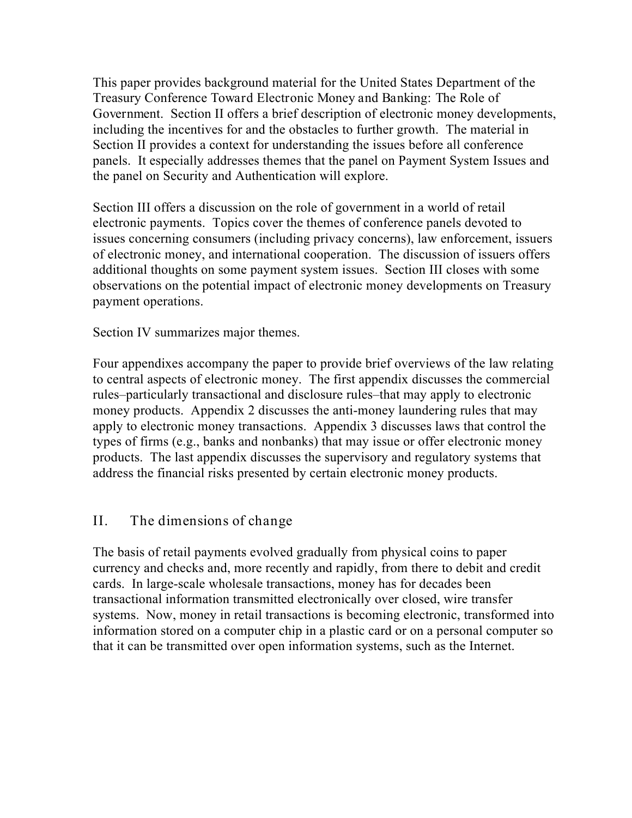This paper provides background material for the United States Department of the Treasury Conference *Toward Electronic Money and Banking: The Role of Government*. Section II offers a brief description of electronic money developments, including the incentives for and the obstacles to further growth. The material in Section II provides a context for understanding the issues before all conference panels. It especially addresses themes that the panel on Payment System Issues and the panel on Security and Authentication will explore.

Section III offers a discussion on the role of government in a world of retail electronic payments. Topics cover the themes of conference panels devoted to issues concerning consumers (including privacy concerns), law enforcement, issuers of electronic money, and international cooperation. The discussion of issuers offers additional thoughts on some payment system issues. Section III closes with some observations on the potential impact of electronic money developments on Treasury payment operations.

Section IV summarizes major themes.

Four appendixes accompany the paper to provide brief overviews of the law relating to central aspects of electronic money. The first appendix discusses the commercial rules–particularly transactional and disclosure rules–that may apply to electronic money products. Appendix 2 discusses the anti-money laundering rules that may apply to electronic money transactions. Appendix 3 discusses laws that control the types of firms (e.g., banks and nonbanks) that may issue or offer electronic money products. The last appendix discusses the supervisory and regulatory systems that address the financial risks presented by certain electronic money products.

### **II. The dimensions of change**

The basis of retail payments evolved gradually from physical coins to paper currency and checks and, more recently and rapidly, from there to debit and credit cards. In large-scale wholesale transactions, money has for decades been transactional information transmitted electronically over closed, wire transfer systems. Now, money in retail transactions is becoming electronic, transformed into information stored on a computer chip in a plastic card or on a personal computer so that it can be transmitted over open information systems, such as the Internet.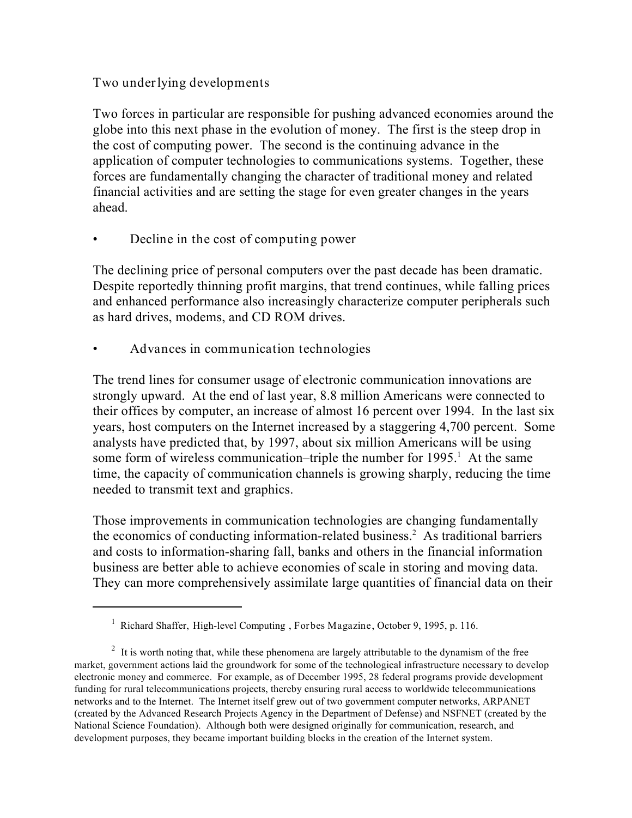### **Two underlying developments**

Two forces in particular are responsible for pushing advanced economies around the globe into this next phase in the evolution of money. The first is the steep drop in the cost of computing power. The second is the continuing advance in the application of computer technologies to communications systems. Together, these forces are fundamentally changing the character of traditional money and related financial activities and are setting the stage for even greater changes in the years ahead.

**• Decline in the cost of computing power**

The declining price of personal computers over the past decade has been dramatic. Despite reportedly thinning profit margins, that trend continues, while falling prices and enhanced performance also increasingly characterize computer peripherals such as hard drives, modems, and CD ROM drives.

**• Advances in communication technologies**

The trend lines for consumer usage of electronic communication innovations are strongly upward. At the end of last year, 8.8 million Americans were connected to their offices by computer, an increase of almost 16 percent over 1994. In the last six years, host computers on the Internet increased by a staggering 4,700 percent. Some analysts have predicted that, by 1997, about six million Americans will be using some form of wireless communication–triple the number for  $1995<sup>1</sup>$ . At the same time, the capacity of communication channels is growing sharply, reducing the time needed to transmit text and graphics.

Those improvements in communication technologies are changing fundamentally the economics of conducting information-related business.<sup>2</sup> As traditional barriers and costs to information-sharing fall, banks and others in the financial information business are better able to achieve economies of scale in storing and moving data. They can more comprehensively assimilate large quantities of financial data on their

<sup>&</sup>lt;sup>1</sup> Richard Shaffer, *High-level Computing*, *Forbes Magazine*, *October 9*, 1995, p. 116.

 $\mu$ <sup>2</sup> It is worth noting that, while these phenomena are largely attributable to the dynamism of the free market, government actions laid the groundwork for some of the technological infrastructure necessary to develop electronic money and commerce. For example, as of December 1995, 28 federal programs provide development funding for rural telecommunications projects, thereby ensuring rural access to worldwide telecommunications networks and to the Internet. The Internet itself grew out of two government computer networks, ARPANET (created by the Advanced Research Projects Agency in the Department of Defense) and NSFNET (created by the National Science Foundation). Although both were designed originally for communication, research, and development purposes, they became important building blocks in the creation of the Internet system.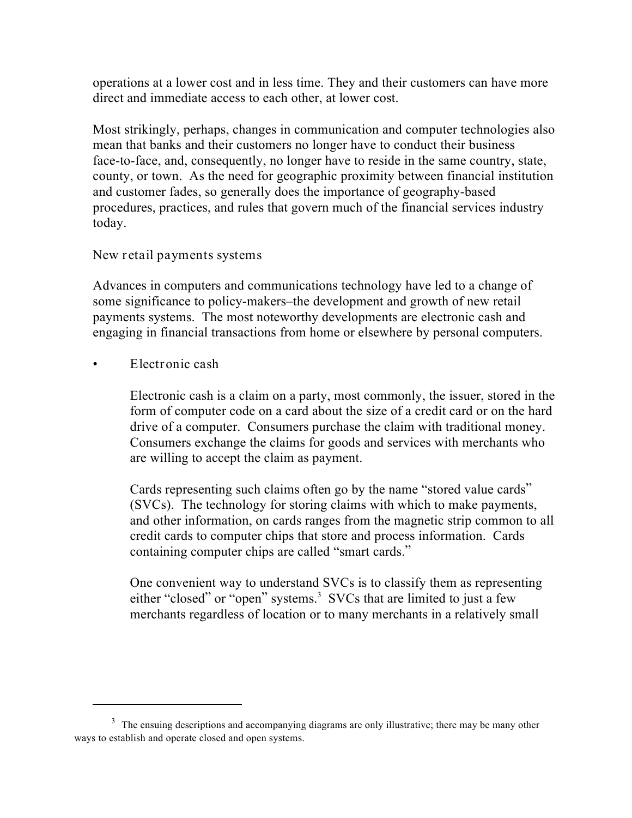operations at a lower cost and in less time. They and their customers can have more direct and immediate access to each other, at lower cost.

Most strikingly, perhaps, changes in communication and computer technologies also mean that banks and their customers no longer have to conduct their business face-to-face, and, consequently, no longer have to reside in the same country, state, county, or town. As the need for geographic proximity between financial institution and customer fades, so generally does the importance of geography-based procedures, practices, and rules that govern much of the financial services industry today.

### **New retail payments systems**

Advances in computers and communications technology have led to a change of some significance to policy-makers–the development and growth of new retail payments systems. The most noteworthy developments are electronic cash and engaging in financial transactions from home or elsewhere by personal computers.

• **Electronic cash**

Electronic cash is a claim on a party, most commonly, the issuer, stored in the form of computer code on a card about the size of a credit card or on the hard drive of a computer. Consumers purchase the claim with traditional money. Consumers exchange the claims for goods and services with merchants who are willing to accept the claim as payment.

Cards representing such claims often go by the name "stored value cards" (SVCs). The technology for storing claims with which to make payments, and other information, on cards ranges from the magnetic strip common to all credit cards to computer chips that store and process information. Cards containing computer chips are called "smart cards."

One convenient way to understand SVCs is to classify them as representing either "closed" or "open" systems.<sup>3</sup> SVCs that are limited to just a few merchants regardless of location or to many merchants in a relatively small

 $3\text{ }$  The ensuing descriptions and accompanying diagrams are only illustrative; there may be many other ways to establish and operate closed and open systems.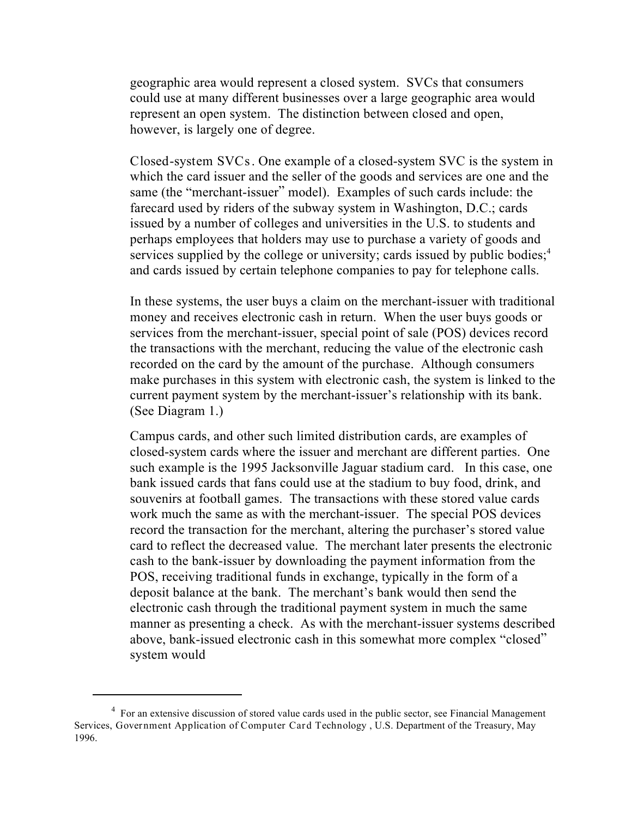geographic area would represent a closed system. SVCs that consumers could use at many different businesses over a large geographic area would represent an open system. The distinction between closed and open, however, is largely one of degree.

**Closed-system SVCs**. One example of a closed-system SVC is the system in which the card issuer and the seller of the goods and services are one and the same (the "merchant-issuer" model). Examples of such cards include: the farecard used by riders of the subway system in Washington, D.C.; cards issued by a number of colleges and universities in the U.S. to students and perhaps employees that holders may use to purchase a variety of goods and services supplied by the college or university; cards issued by public bodies; $<sup>4</sup>$ </sup> and cards issued by certain telephone companies to pay for telephone calls.

In these systems, the user buys a claim on the merchant-issuer with traditional money and receives electronic cash in return. When the user buys goods or services from the merchant-issuer, special point of sale (POS) devices record the transactions with the merchant, reducing the value of the electronic cash recorded on the card by the amount of the purchase. Although consumers make purchases in this system with electronic cash, the system is linked to the current payment system by the merchant-issuer's relationship with its bank. (See Diagram 1.)

Campus cards, and other such limited distribution cards, are examples of closed-system cards where the issuer and merchant are different parties. One such example is the 1995 Jacksonville Jaguar stadium card. In this case, one bank issued cards that fans could use at the stadium to buy food, drink, and souvenirs at football games. The transactions with these stored value cards work much the same as with the merchant-issuer. The special POS devices record the transaction for the merchant, altering the purchaser's stored value card to reflect the decreased value. The merchant later presents the electronic cash to the bank-issuer by downloading the payment information from the POS, receiving traditional funds in exchange, typically in the form of a deposit balance at the bank. The merchant's bank would then send the electronic cash through the traditional payment system in much the same manner as presenting a check. As with the merchant-issuer systems described above, bank-issued electronic cash in this somewhat more complex "closed" system would

<sup>&</sup>lt;sup>4</sup> For an extensive discussion of stored value cards used in the public sector, see Financial Management Services, **Government Application of Computer Card Technology** , U.S. Department of the Treasury, May 1996.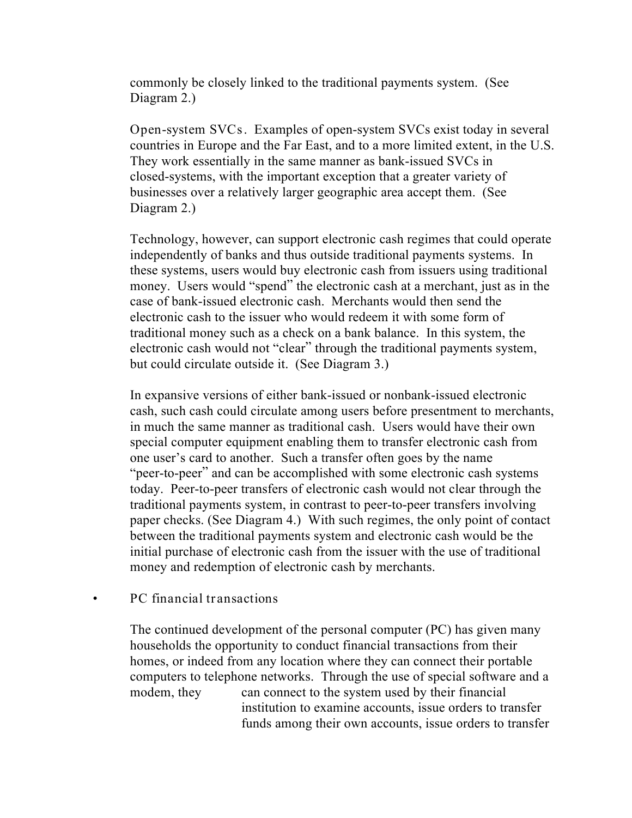commonly be closely linked to the traditional payments system. (See Diagram 2.)

**Open-system SVCs**. Examples of open-system SVCs exist today in several countries in Europe and the Far East, and to a more limited extent, in the U.S. They work essentially in the same manner as bank-issued SVCs in closed-systems, with the important exception that a greater variety of businesses over a relatively larger geographic area accept them. (See Diagram 2.)

Technology, however, can support electronic cash regimes that could operate independently of banks and thus outside traditional payments systems. In these systems, users would buy electronic cash from issuers using traditional money. Users would "spend" the electronic cash at a merchant, just as in the case of bank-issued electronic cash. Merchants would then send the electronic cash to the issuer who would redeem it with some form of traditional money such as a check on a bank balance. In this system, the electronic cash would not "clear" through the traditional payments system, but could circulate outside it. (See Diagram 3.)

In expansive versions of either bank-issued or nonbank-issued electronic cash, such cash could circulate among users before presentment to merchants, in much the same manner as traditional cash. Users would have their own special computer equipment enabling them to transfer electronic cash from one user's card to another. Such a transfer often goes by the name "peer-to-peer" and can be accomplished with some electronic cash systems today. Peer-to-peer transfers of electronic cash would not clear through the traditional payments system, in contrast to peer-to-peer transfers involving paper checks. (See Diagram 4.) With such regimes, the only point of contact between the traditional payments system and electronic cash would be the initial purchase of electronic cash from the issuer with the use of traditional money and redemption of electronic cash by merchants.

#### **• PC financial transactions**

The continued development of the personal computer (PC) has given many households the opportunity to conduct financial transactions from their homes, or indeed from any location where they can connect their portable computers to telephone networks. Through the use of special software and a modem, they can connect to the system used by their financial institution to examine accounts, issue orders to transfer funds among their own accounts, issue orders to transfer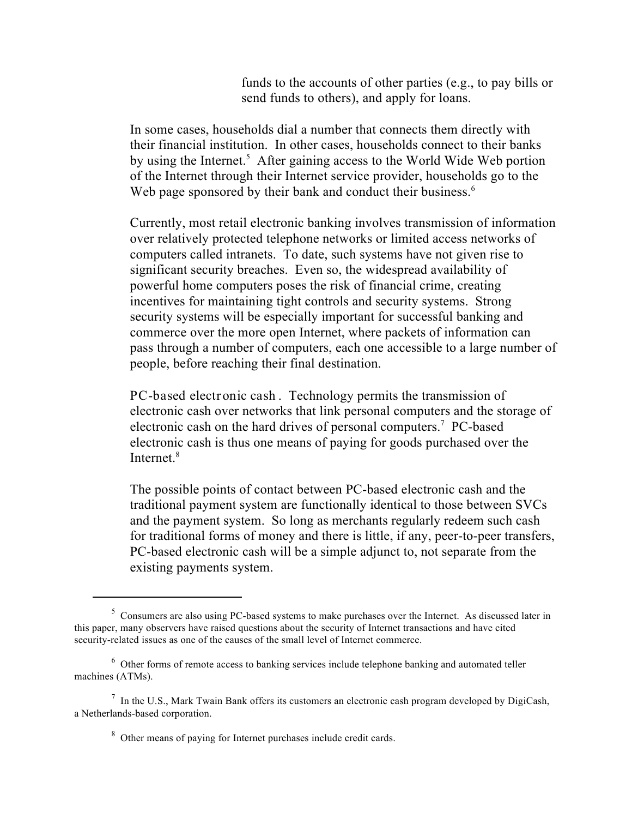funds to the accounts of other parties (*e.g.*, to pay bills or send funds to others), and apply for loans.

In some cases, households dial a number that connects them directly with their financial institution. In other cases, households connect to their banks by using the Internet.<sup>5</sup> After gaining access to the World Wide Web portion of the Internet through their Internet service provider, households go to the Web page sponsored by their bank and conduct their business.<sup>6</sup>

Currently, most retail electronic banking involves transmission of information over relatively protected telephone networks or limited access networks of computers called intranets. To date, such systems have not given rise to significant security breaches. Even so, the widespread availability of powerful home computers poses the risk of financial crime, creating incentives for maintaining tight controls and security systems. Strong security systems will be especially important for successful banking and commerce over the more open Internet, where packets of information can pass through a number of computers, each one accessible to a large number of people, before reaching their final destination.

**PC-based electronic cash** . Technology permits the transmission of electronic cash over networks that link personal computers and the storage of electronic cash on the hard drives of personal computers.<sup>7</sup> PC-based electronic cash is thus one means of paying for goods purchased over the Internet. $8$ 

The possible points of contact between PC-based electronic cash and the traditional payment system are functionally identical to those between SVCs and the payment system. So long as merchants regularly redeem such cash for traditional forms of money and there is little, if any, peer-to-peer transfers, PC-based electronic cash will be a simple adjunct to, not separate from the existing payments system.

<sup>&</sup>lt;sup>5</sup> Consumers are also using PC-based systems to make purchases over the Internet. As discussed later in this paper, many observers have raised questions about the security of Internet transactions and have cited security-related issues as one of the causes of the small level of Internet commerce.

 $6$  Other forms of remote access to banking services include telephone banking and automated teller machines (ATMs).

 $\frac{7}{1}$  In the U.S., Mark Twain Bank offers its customers an electronic cash program developed by DigiCash, a Netherlands-based corporation.

<sup>&</sup>lt;sup>8</sup> Other means of paying for Internet purchases include credit cards.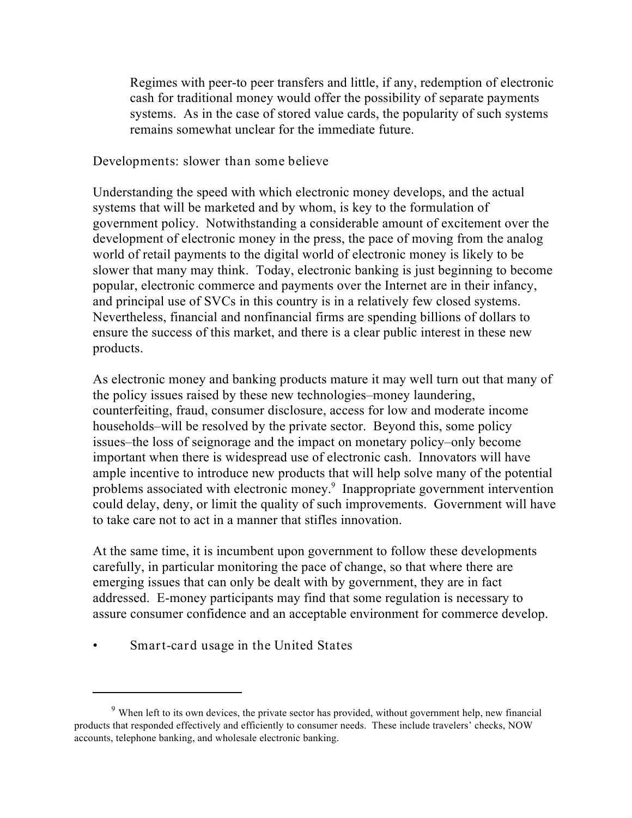Regimes with peer-to peer transfers and little, if any, redemption of electronic cash for traditional money would offer the possibility of separate payments systems. As in the case of stored value cards, the popularity of such systems remains somewhat unclear for the immediate future.

#### **Developments: slower than some believe**

Understanding the speed with which electronic money develops, and the actual systems that will be marketed and by whom, is key to the formulation of government policy. Notwithstanding a considerable amount of excitement over the development of electronic money in the press, the pace of moving from the analog world of retail payments to the digital world of electronic money is likely to be slower that many may think. Today, electronic banking is just beginning to become popular, electronic commerce and payments over the Internet are in their infancy, and principal use of SVCs in this country is in a relatively few closed systems. Nevertheless, financial and nonfinancial firms are spending billions of dollars to ensure the success of this market, and there is a clear public interest in these new products.

As electronic money and banking products mature it may well turn out that many of the policy issues raised by these new technologies–money laundering, counterfeiting, fraud, consumer disclosure, access for low and moderate income households–will be resolved by the private sector. Beyond this, some policy issues–the loss of seignorage and the impact on monetary policy–only become important when there is widespread use of electronic cash. Innovators will have ample incentive to introduce new products that will help solve many of the potential problems associated with electronic money.<sup>9</sup> Inappropriate government intervention could delay, deny, or limit the quality of such improvements. Government will have to take care not to act in a manner that stifles innovation.

At the same time, it is incumbent upon government to follow these developments carefully, in particular monitoring the pace of change, so that where there are emerging issues that can only be dealt with by government, they are in fact addressed. E-money participants may find that some regulation is necessary to assure consumer confidence and an acceptable environment for commerce develop.

• **Smart-card usage in the United States**

<sup>&</sup>lt;sup>9</sup> When left to its own devices, the private sector has provided, without government help, new financial products that responded effectively and efficiently to consumer needs. These include travelers' checks, NOW accounts, telephone banking, and wholesale electronic banking.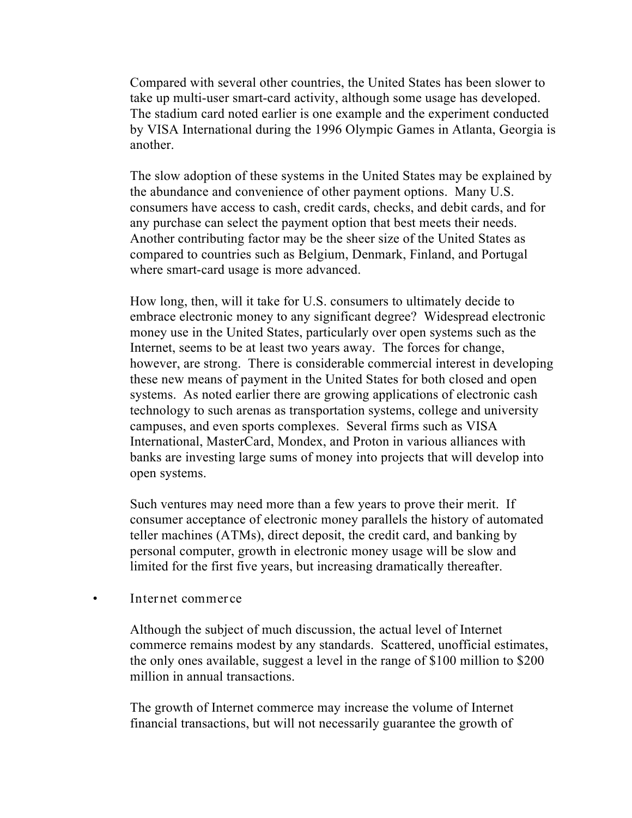Compared with several other countries, the United States has been slower to take up multi-user smart-card activity, although some usage has developed. The stadium card noted earlier is one example and the experiment conducted by VISA International during the 1996 Olympic Games in Atlanta, Georgia is another.

The slow adoption of these systems in the United States may be explained by the abundance and convenience of other payment options. Many U.S. consumers have access to cash, credit cards, checks, and debit cards, and for any purchase can select the payment option that best meets their needs. Another contributing factor may be the sheer size of the United States as compared to countries such as Belgium, Denmark, Finland, and Portugal where smart-card usage is more advanced.

How long, then, will it take for U.S. consumers to ultimately decide to embrace electronic money to any significant degree? Widespread electronic money use in the United States, particularly over open systems such as the Internet, seems to be at least two years away. The forces for change, however, are strong. There is considerable commercial interest in developing these new means of payment in the United States for both closed and open systems. As noted earlier there are growing applications of electronic cash technology to such arenas as transportation systems, college and university campuses, and even sports complexes. Several firms such as VISA International, MasterCard, Mondex, and Proton in various alliances with banks are investing large sums of money into projects that will develop into open systems.

Such ventures may need more than a few years to prove their merit. If consumer acceptance of electronic money parallels the history of automated teller machines (ATMs), direct deposit, the credit card, and banking by personal computer, growth in electronic money usage will be slow and limited for the first five years, but increasing dramatically thereafter.

#### • **Internet commerce**

Although the subject of much discussion, the actual level of Internet commerce remains modest by any standards. Scattered, unofficial estimates, the only ones available, suggest a level in the range of \$100 million to \$200 million in annual transactions.

The growth of Internet commerce may increase the volume of Internet financial transactions, but will not necessarily guarantee the growth of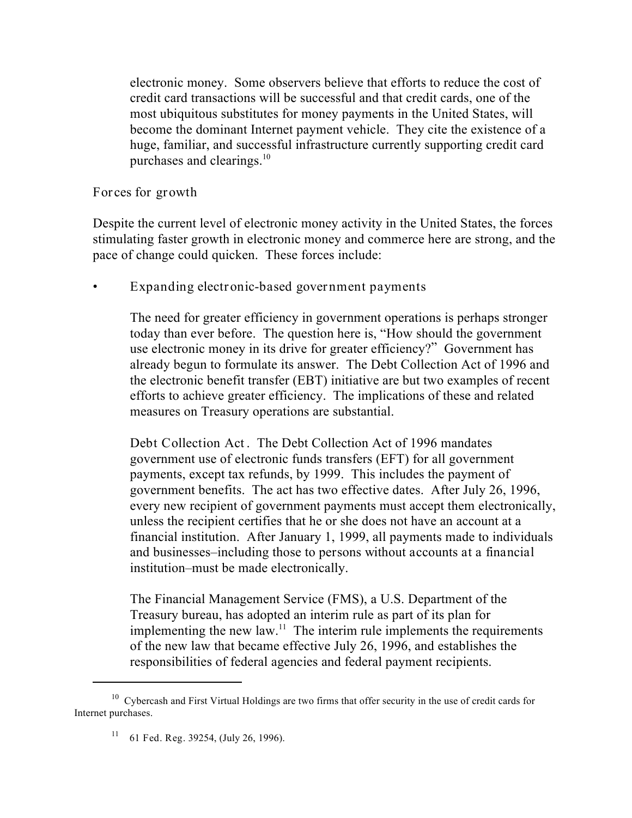electronic money. Some observers believe that efforts to reduce the cost of credit card transactions will be successful and that credit cards, one of the most ubiquitous substitutes for money payments in the United States, will become the dominant Internet payment vehicle. They cite the existence of a huge, familiar, and successful infrastructure currently supporting credit card purchases and clearings. $10<sup>10</sup>$ 

#### **Forces for growth**

Despite the current level of electronic money activity in the United States, the forces stimulating faster growth in electronic money and commerce here are strong, and the pace of change could quicken. These forces include:

• **Expanding electronic-based government payments**

The need for greater efficiency in government operations is perhaps stronger today than ever before. The question here is, "How should the government use electronic money in its drive for greater efficiency?" Government has already begun to formulate its answer. The Debt Collection Act of 1996 and the electronic benefit transfer (EBT) initiative are but two examples of recent efforts to achieve greater efficiency. The implications of these and related measures on Treasury operations are substantial.

**Debt Collection Act**. The Debt Collection Act of 1996 mandates government use of electronic funds transfers (EFT) for all government payments, except tax refunds, by 1999. This includes the payment of government benefits. The act has two effective dates. After July 26, 1996, every new recipient of government payments must accept them electronically, unless the recipient certifies that he or she does not have an account at a financial institution. After January 1, 1999, all payments made to individuals and businesses–*including those to persons without accounts at a financial institution*–must be made electronically.

The Financial Management Service (FMS), a U.S. Department of the Treasury bureau, has adopted an interim rule as part of its plan for implementing the new law.<sup>11</sup> The interim rule implements the requirements of the new law that became effective July 26, 1996, and establishes the responsibilities of federal agencies and federal payment recipients.

 $10$  Cybercash and First Virtual Holdings are two firms that offer security in the use of credit cards for Internet purchases.

<sup>&</sup>lt;sup>11</sup> 61 Fed. Reg. 39254, (July 26, 1996).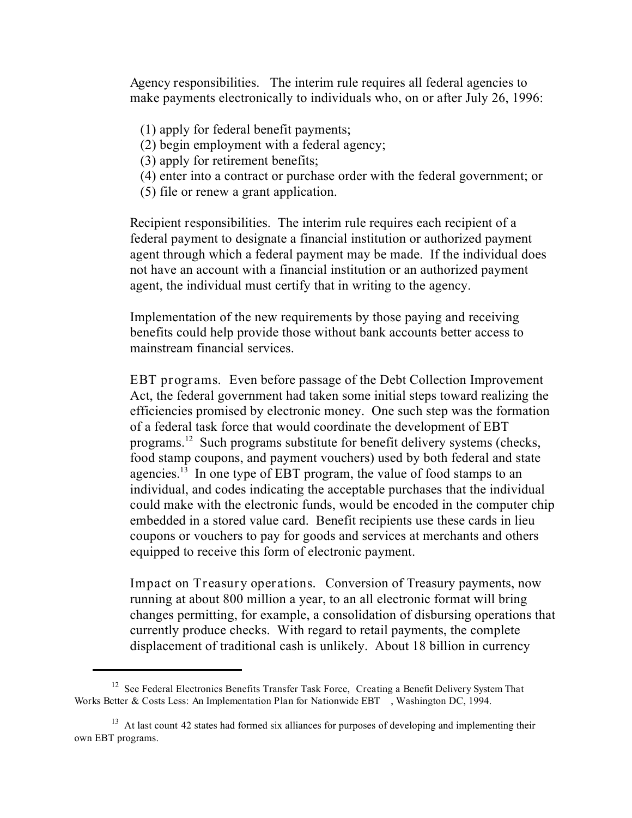*Agency responsibilities*. The interim rule requires all federal agencies to make payments electronically to individuals who, on or after July 26, 1996:

- (1) apply for federal benefit payments;
- (2) begin employment with a federal agency;
- (3) apply for retirement benefits;
- (4) enter into a contract or purchase order with the federal government; or
- (5) file or renew a grant application.

*Recipient responsibilities*. The interim rule requires each recipient of a federal payment to designate a financial institution or authorized payment agent through which a federal payment may be made. If the individual does not have an account with a financial institution or an authorized payment agent, the individual must certify that in writing to the agency.

Implementation of the new requirements by those paying and receiving benefits could help provide those without bank accounts better access to mainstream financial services.

**EBT programs.** Even before passage of the Debt Collection Improvement Act, the federal government had taken some initial steps toward realizing the efficiencies promised by electronic money. One such step was the formation of a federal task force that would coordinate the development of EBT programs. $^{12}$  Such programs substitute for benefit delivery systems (checks, food stamp coupons, and payment vouchers) used by both federal and state agencies.<sup>13</sup> In one type of EBT program, the value of food stamps to an individual, and codes indicating the acceptable purchases that the individual could make with the electronic funds, would be encoded in the computer chip embedded in a stored value card. Benefit recipients use these cards in lieu coupons or vouchers to pay for goods and services at merchants and others equipped to receive this form of electronic payment.

**Impact on Treasury operations.** Conversion of Treasury payments, now running at about 800 million a year, to an all electronic format will bring changes permitting, for example, a consolidation of disbursing operations that currently produce checks. With regard to retail payments, the complete displacement of traditional cash is unlikely. About 18 billion in currency

<sup>&</sup>lt;sup>12</sup> See Federal Electronics Benefits Transfer Task Force, *Creating a Benefit Delivery System That Works Better & Costs Less: An Implementation Plan for Nationwide EBT* , Washington DC, 1994.

 $^{13}$  At last count 42 states had formed six alliances for purposes of developing and implementing their own EBT programs.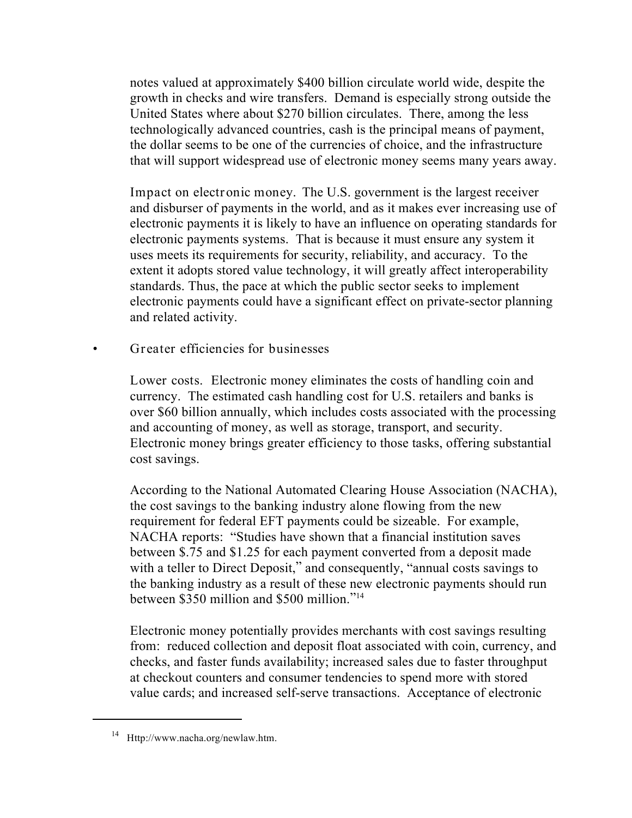notes valued at approximately \$400 billion circulate world wide, despite the growth in checks and wire transfers. Demand is especially strong outside the United States where about \$270 billion circulates. There, among the less technologically advanced countries, cash is the principal means of payment, the dollar seems to be one of the currencies of choice, and the infrastructure that will support widespread use of electronic money seems many years away.

**Impact on electronic money.** The U.S. government is the largest receiver and disburser of payments in the world, and as it makes ever increasing use of electronic payments it is likely to have an influence on operating standards for electronic payments systems. That is because it must ensure any system it uses meets its requirements for security, reliability, and accuracy. To the extent it adopts stored value technology, it will greatly affect interoperability standards. Thus, the pace at which the public sector seeks to implement electronic payments could have a significant effect on private-sector planning and related activity.

• **Greater efficiencies for businesses**

**Lower costs.** Electronic money eliminates the costs of handling coin and currency. The estimated cash handling cost for U.S. retailers and banks is over \$60 billion annually, which includes costs associated with the processing and accounting of money, as well as storage, transport, and security. Electronic money brings greater efficiency to those tasks, offering substantial cost savings.

According to the National Automated Clearing House Association (NACHA), the cost savings to the banking industry alone flowing from the new requirement for federal EFT payments could be sizeable. For example, NACHA reports: "Studies have shown that a financial institution saves between \$.75 and \$1.25 for each payment converted from a deposit made with a teller to Direct Deposit," and consequently, "annual costs savings to the banking industry as a result of these new electronic payments should run between \$350 million and \$500 million."<sup>14</sup>

Electronic money potentially provides merchants with cost savings resulting from: reduced collection and deposit float associated with coin, currency, and checks, and faster funds availability; increased sales due to faster throughput at checkout counters and consumer tendencies to spend more with stored value cards; and increased self-serve transactions. Acceptance of electronic

 $14$  Http://www.nacha.org/newlaw.htm.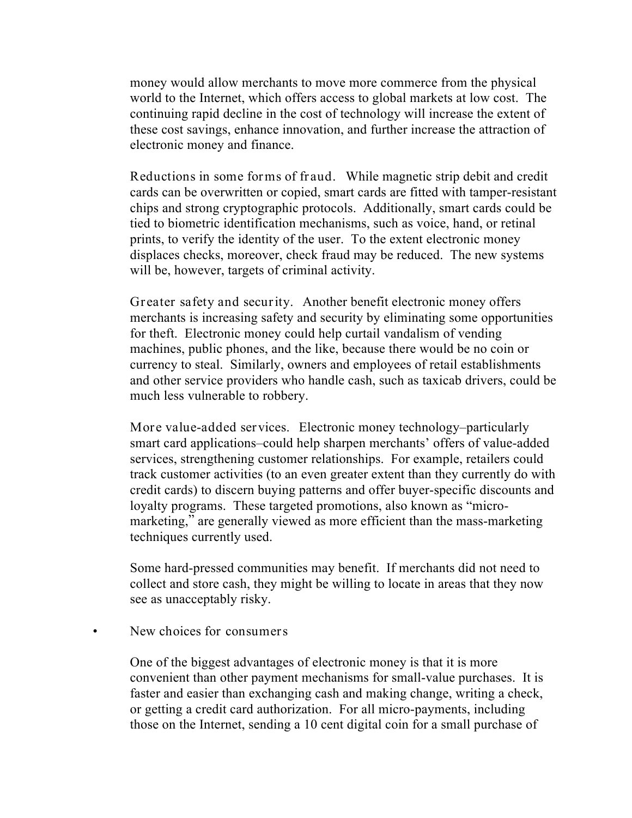money would allow merchants to move more commerce from the physical world to the Internet, which offers access to global markets at low cost. The continuing rapid decline in the cost of technology will increase the extent of these cost savings, enhance innovation, and further increase the attraction of electronic money and finance.

**Reductions in some forms of fraud.** While magnetic strip debit and credit cards can be overwritten or copied, smart cards are fitted with tamper-resistant chips and strong cryptographic protocols. Additionally, smart cards could be tied to biometric identification mechanisms, such as voice, hand, or retinal prints, to verify the identity of the user. To the extent electronic money displaces checks, moreover, check fraud may be reduced. The new systems will be, however, targets of criminal activity.

**Greater safety and security.** Another benefit electronic money offers merchants is increasing safety and security by eliminating some opportunities for theft. Electronic money could help curtail vandalism of vending machines, public phones, and the like, because there would be no coin or currency to steal. Similarly, owners and employees of retail establishments and other service providers who handle cash, such as taxicab drivers, could be much less vulnerable to robbery.

**More value-added services.** Electronic money technology–particularly smart card applications–could help sharpen merchants' offers of value-added services, strengthening customer relationships. For example, retailers could track customer activities (to an even greater extent than they currently do with credit cards) to discern buying patterns and offer buyer-specific discounts and loyalty programs. These targeted promotions, also known as "micromarketing," are generally viewed as more efficient than the mass-marketing techniques currently used.

Some hard-pressed communities may benefit. If merchants did not need to collect and store cash, they might be willing to locate in areas that they now see as unacceptably risky.

#### • **New choices for consumers**

One of the biggest advantages of electronic money is that it is more convenient than other payment mechanisms for small-value purchases. It is faster and easier than exchanging cash and making change, writing a check, or getting a credit card authorization. For all micro-payments, including those on the Internet, sending a 10 cent digital coin for a small purchase of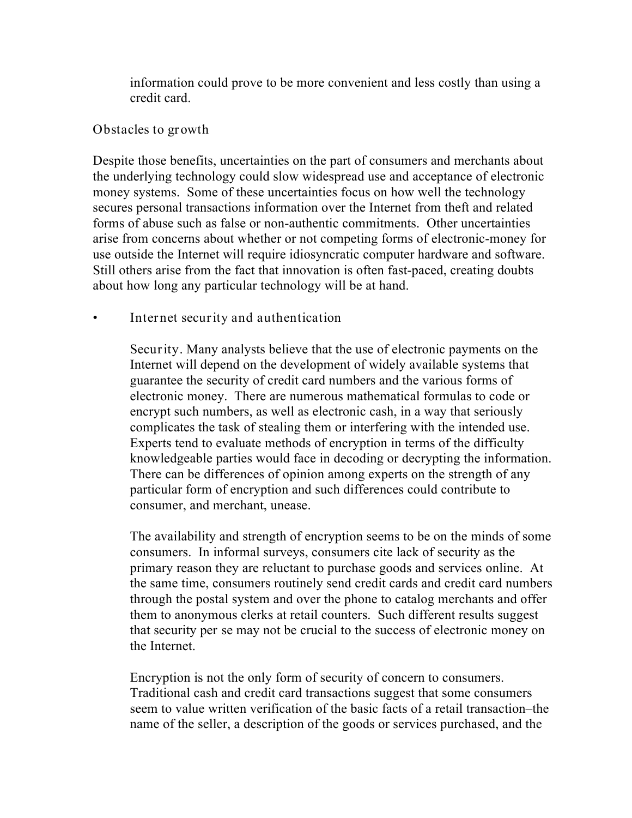information could prove to be more convenient and less costly than using a credit card.

### **Obstacles to growth**

Despite those benefits, uncertainties on the part of consumers and merchants about the underlying technology could slow widespread use and acceptance of electronic money systems. Some of these uncertainties focus on how well the technology secures personal transactions information over the Internet from theft and related forms of abuse such as false or non-authentic commitments. Other uncertainties arise from concerns about whether or not competing forms of electronic-money for use outside the Internet will require idiosyncratic computer hardware and software. Still others arise from the fact that innovation is often fast-paced, creating doubts about how long any particular technology will be at hand.

**• Internet security and authentication**

**Security**. Many analysts believe that the use of electronic payments on the Internet will depend on the development of widely available systems that guarantee the security of credit card numbers and the various forms of electronic money. There are numerous mathematical formulas to code or encrypt such numbers, as well as electronic cash, in a way that seriously complicates the task of stealing them or interfering with the intended use. Experts tend to evaluate methods of encryption in terms of the difficulty knowledgeable parties would face in decoding or decrypting the information. There can be differences of opinion among experts on the strength of any particular form of encryption and such differences could contribute to consumer, and merchant, unease.

The availability and strength of encryption seems to be on the minds of some consumers. In informal surveys, consumers cite lack of security as the primary reason they are reluctant to purchase goods and services online. At the same time, consumers routinely send credit cards and credit card numbers through the postal system and over the phone to catalog merchants and offer them to anonymous clerks at retail counters. Such different results suggest that security *per se* may not be crucial to the success of electronic money on the Internet.

Encryption is not the only form of security of concern to consumers. Traditional cash and credit card transactions suggest that some consumers seem to value written verification of the basic facts of a retail transaction–the name of the seller, a description of the goods or services purchased, and the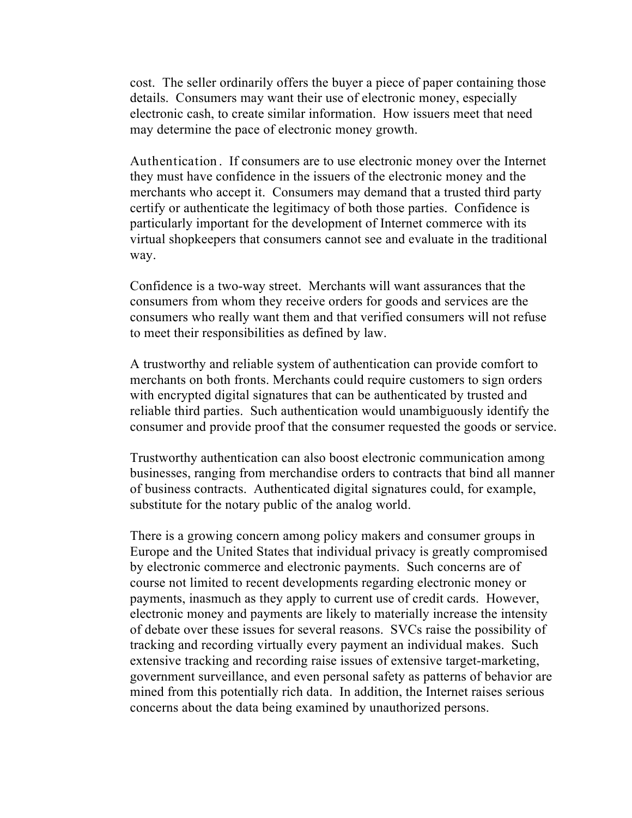cost. The seller ordinarily offers the buyer a piece of paper containing those details. Consumers may want their use of electronic money, especially electronic cash, to create similar information. How issuers meet that need may determine the pace of electronic money growth.

**Authentication**. If consumers are to use electronic money over the Internet they must have confidence in the issuers of the electronic money and the merchants who accept it. Consumers may demand that a trusted third party certify or authenticate the legitimacy of both those parties. Confidence is particularly important for the development of Internet commerce with its virtual shopkeepers that consumers cannot see and evaluate in the traditional way.

Confidence is a two-way street. Merchants will want assurances that the consumers from whom they receive orders for goods and services are the consumers who really want them and that verified consumers will not refuse to meet their responsibilities as defined by law.

A trustworthy and reliable system of authentication can provide comfort to merchants on both fronts. Merchants could require customers to sign orders with encrypted digital signatures that can be authenticated by trusted and reliable third parties. Such authentication would unambiguously identify the consumer and provide proof that the consumer requested the goods or service.

Trustworthy authentication can also boost electronic communication among businesses, ranging from merchandise orders to contracts that bind all manner of business contracts. Authenticated digital signatures could, for example, substitute for the notary public of the analog world.

There is a growing concern among policy makers and consumer groups in Europe and the United States that individual privacy is greatly compromised by electronic commerce and electronic payments. Such concerns are of course not limited to recent developments regarding electronic money or payments, inasmuch as they apply to current use of credit cards. However, electronic money and payments are likely to materially increase the intensity of debate over these issues for several reasons. SVCs raise the possibility of tracking and recording virtually every payment an individual makes. Such extensive tracking and recording raise issues of extensive target-marketing, government surveillance, and even personal safety as patterns of behavior are mined from this potentially rich data. In addition, the Internet raises serious concerns about the data being examined by unauthorized persons.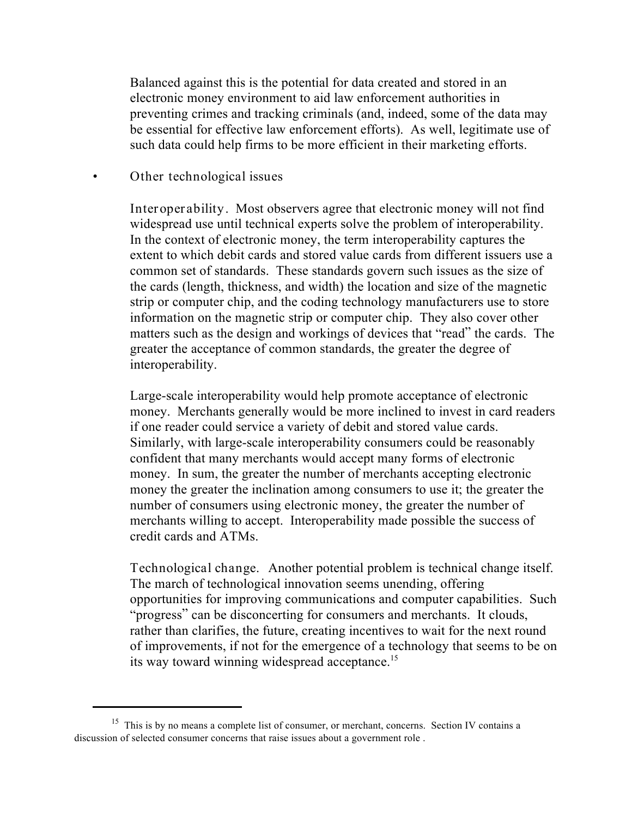Balanced against this is the potential for data created and stored in an electronic money environment to aid law enforcement authorities in preventing crimes and tracking criminals (and, indeed, some of the data may be essential for effective law enforcement efforts). As well, legitimate use of such data could help firms to be more efficient in their marketing efforts.

#### • **Other technological issues**

**Interoperability**. Most observers agree that electronic money will not find widespread use until technical experts solve the problem of interoperability. In the context of electronic money, the term interoperability captures the extent to which debit cards and stored value cards from different issuers use a common set of standards. These standards govern such issues as the size of the cards (length, thickness, and width) the location and size of the magnetic strip or computer chip, and the coding technology manufacturers use to store information on the magnetic strip or computer chip. They also cover other matters such as the design and workings of devices that "read" the cards. The greater the acceptance of common standards, the greater the degree of interoperability.

Large-scale interoperability would help promote acceptance of electronic money. Merchants generally would be more inclined to invest in card readers if one reader could service a variety of debit and stored value cards. Similarly, with large-scale interoperability consumers could be reasonably confident that many merchants would accept many forms of electronic money. In sum, the greater the number of merchants accepting electronic money the greater the inclination among consumers to use it; the greater the number of consumers using electronic money, the greater the number of merchants willing to accept. Interoperability made possible the success of credit cards and ATMs.

**Technological change.** Another potential problem is technical change itself. The march of technological innovation seems unending, offering opportunities for improving communications and computer capabilities. Such "progress" can be disconcerting for consumers and merchants. It clouds, rather than clarifies, the future, creating incentives to wait for the next round of improvements, if not for the emergence of a technology that seems to be on its way toward winning widespread acceptance.<sup>15</sup>

 $15$  This is by no means a complete list of consumer, or merchant, concerns. Section IV contains a discussion of selected consumer concerns that raise issues about a government role .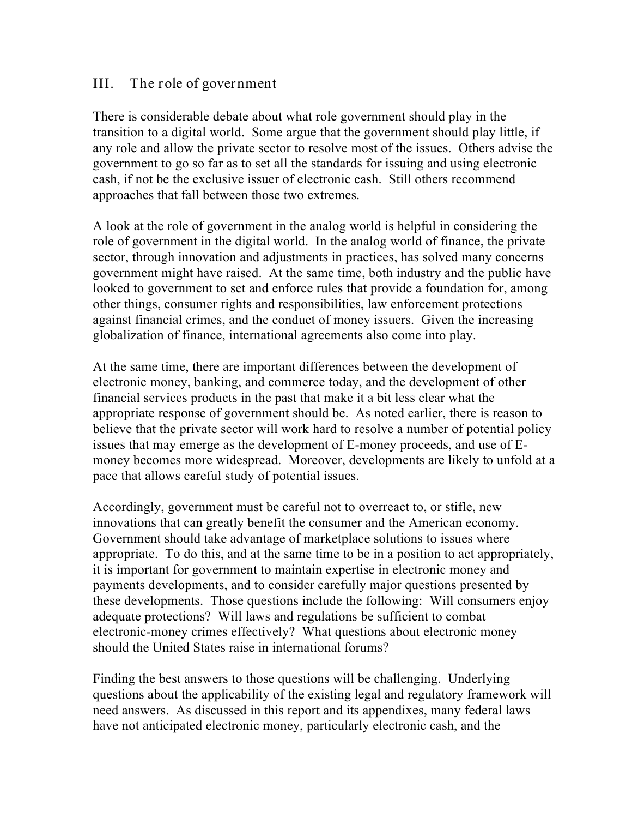### **III. The role of government**

There is considerable debate about what role government should play in the transition to a digital world. Some argue that the government should play little, if any role and allow the private sector to resolve most of the issues. Others advise the government to go so far as to set all the standards for issuing and using electronic cash, if not be the exclusive issuer of electronic cash. Still others recommend approaches that fall between those two extremes.

A look at the role of government in the analog world is helpful in considering the role of government in the digital world. In the analog world of finance, the private sector, through innovation and adjustments in practices, has solved many concerns government might have raised. At the same time, both industry and the public have looked to government to set and enforce rules that provide a foundation for, among other things, consumer rights and responsibilities, law enforcement protections against financial crimes, and the conduct of money issuers. Given the increasing globalization of finance, international agreements also come into play.

At the same time, there are important differences between the development of electronic money, banking, and commerce today, and the development of other financial services products in the past that make it a bit less clear what the appropriate response of government should be. As noted earlier, there is reason to believe that the private sector will work hard to resolve a number of potential policy issues that may emerge as the development of E-money proceeds, and use of Emoney becomes more widespread. Moreover, developments are likely to unfold at a pace that allows careful study of potential issues.

Accordingly, government must be careful not to overreact to, or stifle, new innovations that can greatly benefit the consumer and the American economy. Government should take advantage of marketplace solutions to issues where appropriate. To do this, and at the same time to be in a position to act appropriately, it is important for government to maintain expertise in electronic money and payments developments, and to consider carefully major questions presented by these developments. Those questions include the following: Will consumers enjoy adequate protections? Will laws and regulations be sufficient to combat electronic-money crimes effectively? What questions about electronic money should the United States raise in international forums?

Finding the best answers to those questions will be challenging. Underlying questions about the applicability of the existing legal and regulatory framework will need answers. As discussed in this report and its appendixes, many federal laws have not anticipated electronic money, particularly electronic cash, and the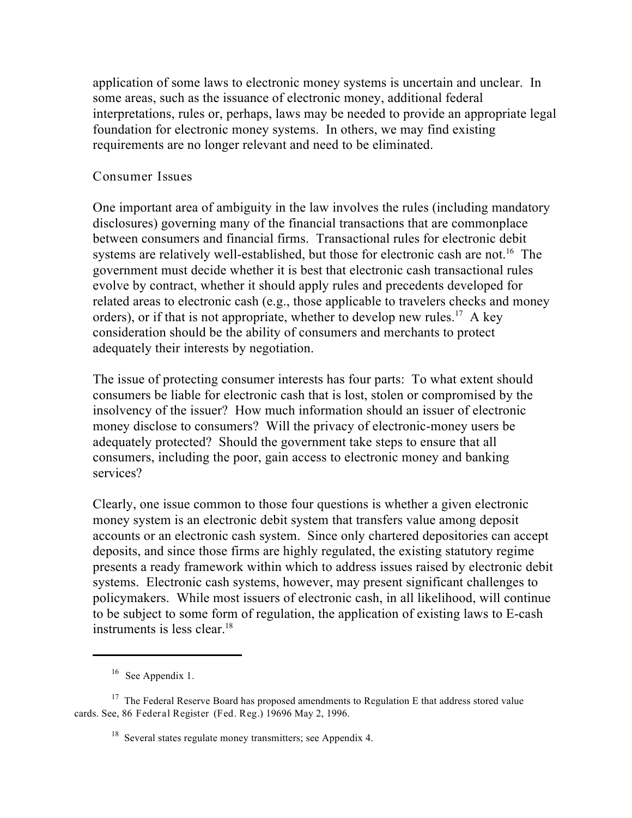application of some laws to electronic money systems is uncertain and unclear. In some areas, such as the issuance of electronic money, additional federal interpretations, rules or, perhaps, laws may be needed to provide an appropriate legal foundation for electronic money systems. In others, we may find existing requirements are no longer relevant and need to be eliminated.

#### **Consumer Issues**

One important area of ambiguity in the law involves the rules (including mandatory disclosures) governing many of the financial transactions that are commonplace between consumers and financial firms. Transactional rules for electronic debit systems are relatively well-established, but those for electronic cash are not.<sup>16</sup> The government must decide whether it is best that electronic cash transactional rules evolve by contract, whether it should apply rules and precedents developed for related areas to electronic cash (*e.g.*, those applicable to travelers checks and money orders), or if that is not appropriate, whether to develop new rules.<sup>17</sup> A key consideration should be the ability of consumers and merchants to protect adequately their interests by negotiation.

The issue of protecting consumer interests has four parts: To what extent should consumers be liable for electronic cash that is lost, stolen or compromised by the insolvency of the issuer? How much information should an issuer of electronic money disclose to consumers? Will the privacy of electronic-money users be adequately protected? Should the government take steps to ensure that all consumers, including the poor, gain access to electronic money and banking services?

Clearly, one issue common to those four questions is whether a given electronic money system is an electronic debit system that transfers value among deposit accounts or an electronic cash system. Since only chartered depositories can accept deposits, and since those firms are highly regulated, the existing statutory regime presents a ready framework within which to address issues raised by electronic debit systems. Electronic cash systems, however, may present significant challenges to policymakers. While most issuers of electronic cash, in all likelihood, will continue to be subject to some form of regulation, the application of existing laws to E-cash instruments is less clear.<sup>18</sup>

 $^{16}$  See Appendix 1.

 $17$  The Federal Reserve Board has proposed amendments to Regulation E that address stored value cards. See, 86 **Federal Register** (**Fed. Reg**.) 19696 May 2, 1996.

 $18$  Several states regulate money transmitters; see Appendix 4.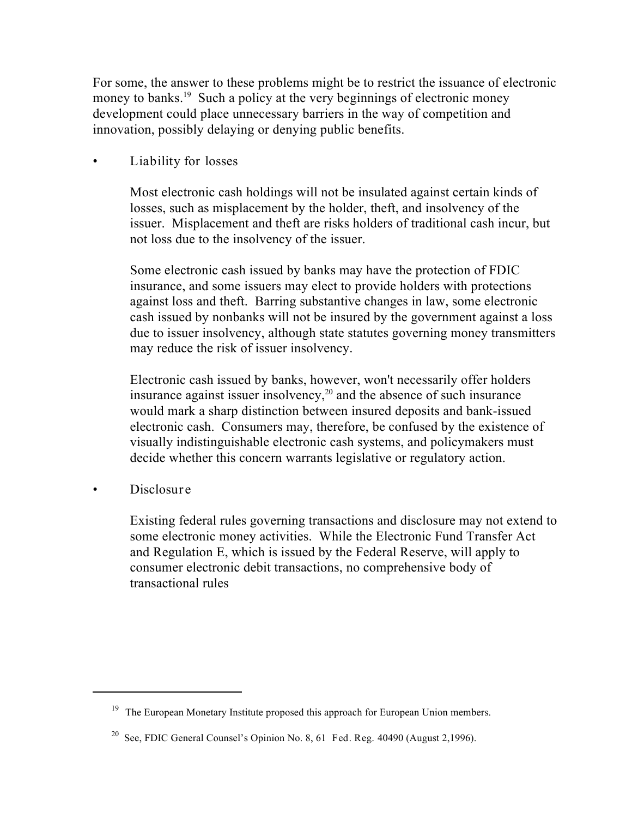For some, the answer to these problems might be to restrict the issuance of electronic money to banks.<sup>19</sup> Such a policy at the very beginnings of electronic money development could place unnecessary barriers in the way of competition and innovation, possibly delaying or denying public benefits.

• **Liability for losses**

Most electronic cash holdings will not be insulated against certain kinds of losses, such as misplacement by the holder, theft, and insolvency of the issuer. Misplacement and theft are risks holders of traditional cash incur, but not loss due to the insolvency of the issuer.

Some electronic cash issued by banks may have the protection of FDIC insurance, and some issuers may elect to provide holders with protections against loss and theft. Barring substantive changes in law, some electronic cash issued by nonbanks will not be insured by the government against a loss due to issuer insolvency, although state statutes governing money transmitters may reduce the risk of issuer insolvency.

Electronic cash issued by banks, however, won't necessarily offer holders insurance against issuer insolvency,<sup>20</sup> and the absence of such insurance would mark a sharp distinction between insured deposits and bank-issued electronic cash. Consumers may, therefore, be confused by the existence of visually indistinguishable electronic cash systems, and policymakers must decide whether this concern warrants legislative or regulatory action.

• **Disclosure**

Existing federal rules governing transactions and disclosure may not extend to some electronic money activities. While the Electronic Fund Transfer Act and Regulation E, which is issued by the Federal Reserve, will apply to consumer electronic debit transactions, no comprehensive body of transactional rules

<sup>&</sup>lt;sup>19</sup> The European Monetary Institute proposed this approach for European Union members.

<sup>&</sup>lt;sup>20</sup> See, FDIC General Counsel's Opinion No. 8, 61 Fed. Reg. 40490 (August 2,1996).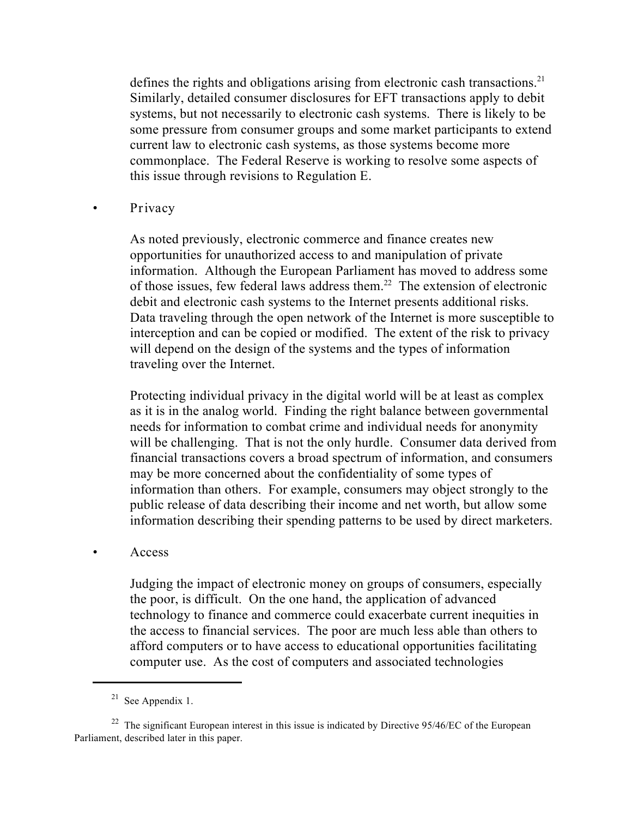defines the rights and obligations arising from electronic cash transactions.<sup>21</sup> Similarly, detailed consumer disclosures for EFT transactions apply to debit systems, but not necessarily to electronic cash systems. There is likely to be some pressure from consumer groups and some market participants to extend current law to electronic cash systems, as those systems become more commonplace. The Federal Reserve is working to resolve some aspects of this issue through revisions to Regulation E.

#### • **Privacy**

As noted previously, electronic commerce and finance creates new opportunities for unauthorized access to and manipulation of private information. Although the European Parliament has moved to address some of those issues, few federal laws address them.<sup>22</sup> The extension of electronic debit and electronic cash systems to the Internet presents additional risks. Data traveling through the open network of the Internet is more susceptible to interception and can be copied or modified. The extent of the risk to privacy will depend on the design of the systems and the types of information traveling over the Internet.

Protecting individual privacy in the digital world will be at least as complex as it is in the analog world. Finding the right balance between governmental needs for information to combat crime and individual needs for anonymity will be challenging. That is not the only hurdle. Consumer data derived from financial transactions covers a broad spectrum of information, and consumers may be more concerned about the confidentiality of some types of information than others. For example, consumers may object strongly to the public release of data describing their income and net worth, but allow some information describing their spending patterns to be used by direct marketers.

#### • **Access**

Judging the impact of electronic money on groups of consumers, especially the poor, is difficult. On the one hand, the application of advanced technology to finance and commerce could exacerbate current inequities in the access to financial services. The poor are much less able than others to afford computers or to have access to educational opportunities facilitating computer use. As the cost of computers and associated technologies

 $21$  See Appendix 1.

 $22$  The significant European interest in this issue is indicated by Directive 95/46/EC of the European Parliament, described later in this paper.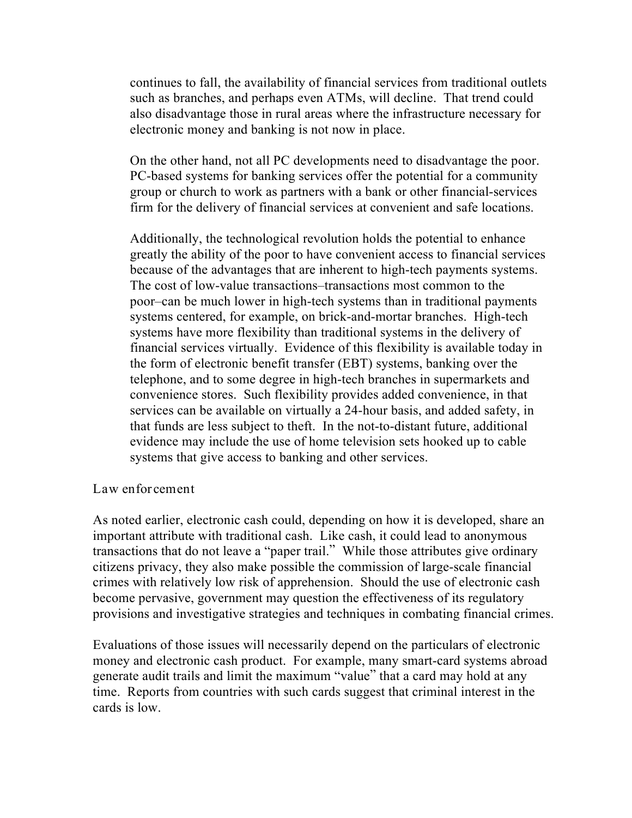continues to fall, the availability of financial services from traditional outlets such as branches, and perhaps even ATMs, will decline. That trend could also disadvantage those in rural areas where the infrastructure necessary for electronic money and banking is not now in place.

On the other hand, not all PC developments need to disadvantage the poor. PC-based systems for banking services offer the potential for a community group or church to work as partners with a bank or other financial-services firm for the delivery of financial services at convenient and safe locations.

Additionally, the technological revolution holds the potential to enhance greatly the ability of the poor to have convenient access to financial services because of the advantages that are inherent to high-tech payments systems. The cost of low-value transactions–transactions most common to the poor–can be much lower in high-tech systems than in traditional payments systems centered, for example, on brick-and-mortar branches. High-tech systems have more flexibility than traditional systems in the delivery of financial services virtually. Evidence of this flexibility is available today in the form of electronic benefit transfer (EBT) systems, banking over the telephone, and to some degree in high-tech branches in supermarkets and convenience stores. Such flexibility provides added convenience, in that services can be available on virtually a 24-hour basis, and added safety, in that funds are less subject to theft. In the not-to-distant future, additional evidence may include the use of home television sets hooked up to cable systems that give access to banking and other services.

#### **Law enforcement**

As noted earlier, electronic cash could, depending on how it is developed, share an important attribute with traditional cash. Like cash, it could lead to anonymous transactions that do not leave a "paper trail." While those attributes give ordinary citizens privacy, they also make possible the commission of large-scale financial crimes with relatively low risk of apprehension. Should the use of electronic cash become pervasive, government may question the effectiveness of its regulatory provisions and investigative strategies and techniques in combating financial crimes.

Evaluations of those issues will necessarily depend on the particulars of electronic money and electronic cash product. For example, many smart-card systems abroad generate audit trails and limit the maximum "value" that a card may hold at any time. Reports from countries with such cards suggest that criminal interest in the cards is low.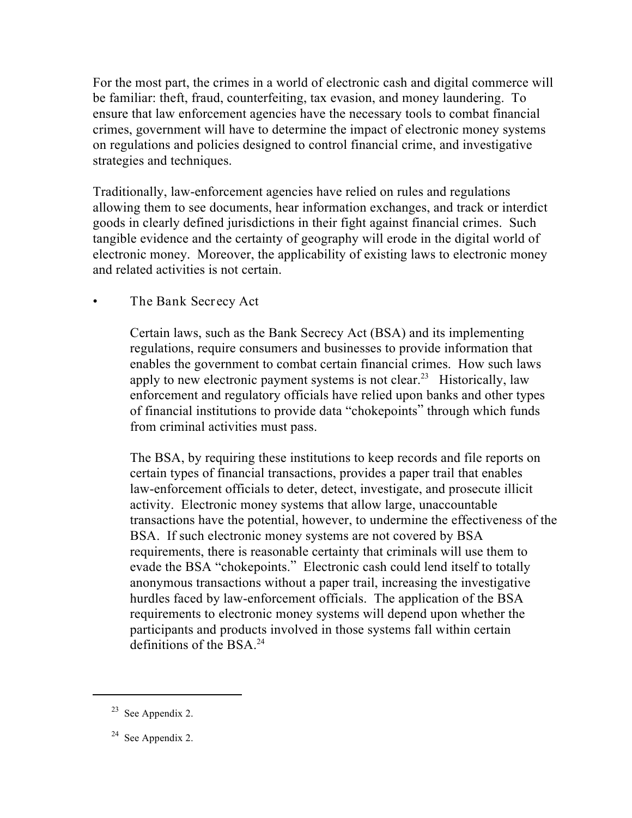For the most part, the crimes in a world of electronic cash and digital commerce will be familiar: theft, fraud, counterfeiting, tax evasion, and money laundering. To ensure that law enforcement agencies have the necessary tools to combat financial crimes, government will have to determine the impact of electronic money systems on regulations and policies designed to control financial crime, and investigative strategies and techniques.

Traditionally, law-enforcement agencies have relied on rules and regulations allowing them to see documents, hear information exchanges, and track or interdict goods in clearly defined jurisdictions in their fight against financial crimes. Such tangible evidence and the certainty of geography will erode in the digital world of electronic money. Moreover, the applicability of existing laws to electronic money and related activities is not certain.

### • **The Bank Secrecy Act**

Certain laws, such as the Bank Secrecy Act (BSA) and its implementing regulations, require consumers and businesses to provide information that enables the government to combat certain financial crimes. How such laws apply to new electronic payment systems is not clear.<sup>23</sup> Historically, law enforcement and regulatory officials have relied upon banks and other types of financial institutions to provide data "chokepoints" through which funds from criminal activities must pass.

The BSA, by requiring these institutions to keep records and file reports on certain types of financial transactions, provides a paper trail that enables law-enforcement officials to deter, detect, investigate, and prosecute illicit activity. Electronic money systems that allow large, unaccountable transactions have the potential, however, to undermine the effectiveness of the BSA. If such electronic money systems are not covered by BSA requirements, there is reasonable certainty that criminals will use them to evade the BSA "chokepoints." Electronic cash could lend itself to totally anonymous transactions without a paper trail, increasing the investigative hurdles faced by law-enforcement officials. The application of the BSA requirements to electronic money systems will depend upon whether the participants and products involved in those systems fall within certain definitions of the BSA.24

 $23$  See Appendix 2.

 $24$  See Appendix 2.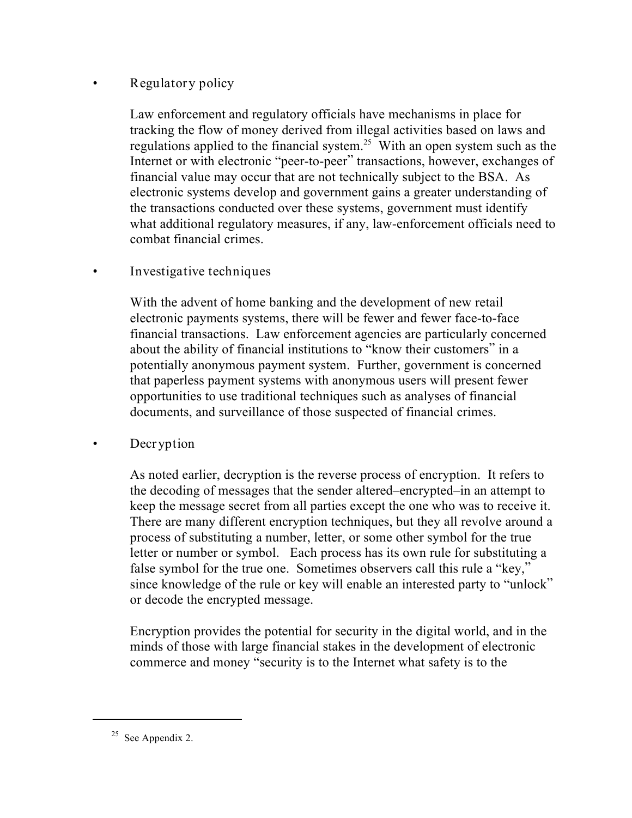### • **Regulatory policy**

Law enforcement and regulatory officials have mechanisms in place for tracking the flow of money derived from illegal activities based on laws and regulations applied to the financial system.<sup>25</sup> With an open system such as the Internet or with electronic "peer-to-peer" transactions, however, exchanges of financial value may occur that are not technically subject to the BSA. As electronic systems develop and government gains a greater understanding of the transactions conducted over these systems, government must identify what additional regulatory measures, if any, law-enforcement officials need to combat financial crimes.

### • **Investigative techniques**

With the advent of home banking and the development of new retail electronic payments systems, there will be fewer and fewer face-to-face financial transactions. Law enforcement agencies are particularly concerned about the ability of financial institutions to "know their customers" in a potentially anonymous payment system. Further, government is concerned that paperless payment systems with anonymous users will present fewer opportunities to use traditional techniques such as analyses of financial documents, and surveillance of those suspected of financial crimes.

### • **Decryption**

As noted earlier, decryption is the reverse process of encryption. It refers to the decoding of messages that the sender altered–encrypted–in an attempt to keep the message secret from all parties except the one who was to receive it. There are many different encryption techniques, but they all revolve around a process of substituting a number, letter, or some other symbol for the true letter or number or symbol. Each process has its own rule for substituting a false symbol for the true one. Sometimes observers call this rule a "key," since knowledge of the rule or key will enable an interested party to "unlock" or decode the encrypted message.

Encryption provides the potential for security in the digital world, and in the minds of those with large financial stakes in the development of electronic commerce and money "security is to the Internet what safety is to the

<sup>&</sup>lt;sup>25</sup> See Appendix 2.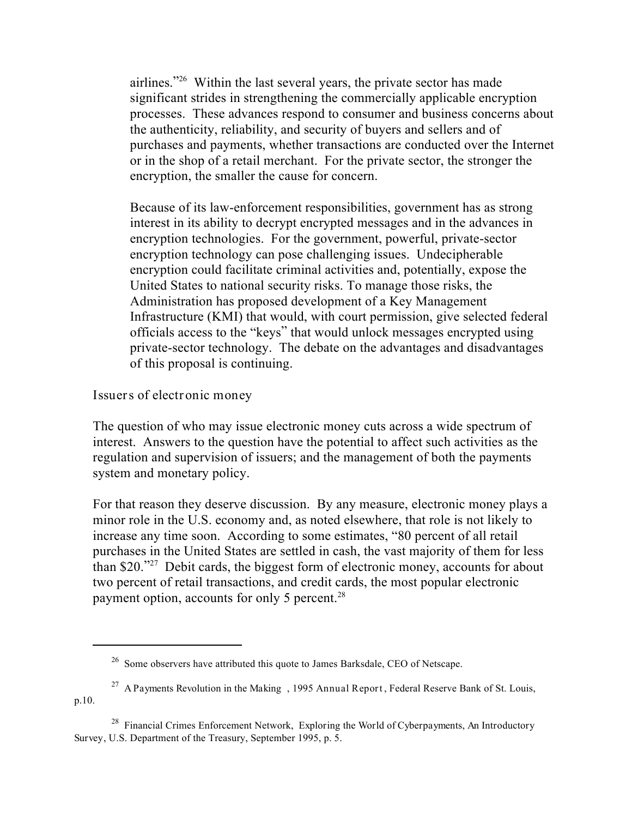airlines." <sup>26</sup> Within the last several years, the private sector has made significant strides in strengthening the commercially applicable encryption processes. These advances respond to consumer and business concerns about the authenticity, reliability, and security of buyers and sellers and of purchases and payments, whether transactions are conducted over the Internet or in the shop of a retail merchant. For the private sector, the stronger the encryption, the smaller the cause for concern.

Because of its law-enforcement responsibilities, government has as strong interest in its ability to decrypt encrypted messages and in the advances in encryption technologies. For the government, powerful, private-sector encryption technology can pose challenging issues. Undecipherable encryption could facilitate criminal activities and, potentially, expose the United States to national security risks. To manage those risks, the Administration has proposed development of a Key Management Infrastructure (KMI) that would, with court permission, give selected federal officials access to the "keys" that would unlock messages encrypted using private-sector technology. The debate on the advantages and disadvantages of this proposal is continuing.

**Issuers of electronic money**

The question of who may issue electronic money cuts across a wide spectrum of interest. Answers to the question have the potential to affect such activities as the regulation and supervision of issuers; and the management of both the payments system and monetary policy.

For that reason they deserve discussion. By any measure, electronic money plays a minor role in the U.S. economy and, as noted elsewhere, that role is not likely to increase any time soon. According to some estimates, "80 percent of all retail purchases in the United States are settled in cash, the vast majority of them for less than \$20. $\frac{320 \times 27}{27}$  Debit cards, the biggest form of electronic money, accounts for about two percent of retail transactions, and credit cards, the most popular electronic payment option, accounts for only 5 percent.<sup>28</sup>

 $26$  Some observers have attributed this quote to James Barksdale, CEO of Netscape.

*A Payments Revolution in the Making* , **1995 Annual Report**, Federal Reserve Bank of St. Louis, <sup>27</sup> p.10.

Financial Crimes Enforcement Network, *Exploring the World of Cyberpayments, An Introductory* <sup>28</sup> *Survey*, U.S. Department of the Treasury, September 1995, p. 5.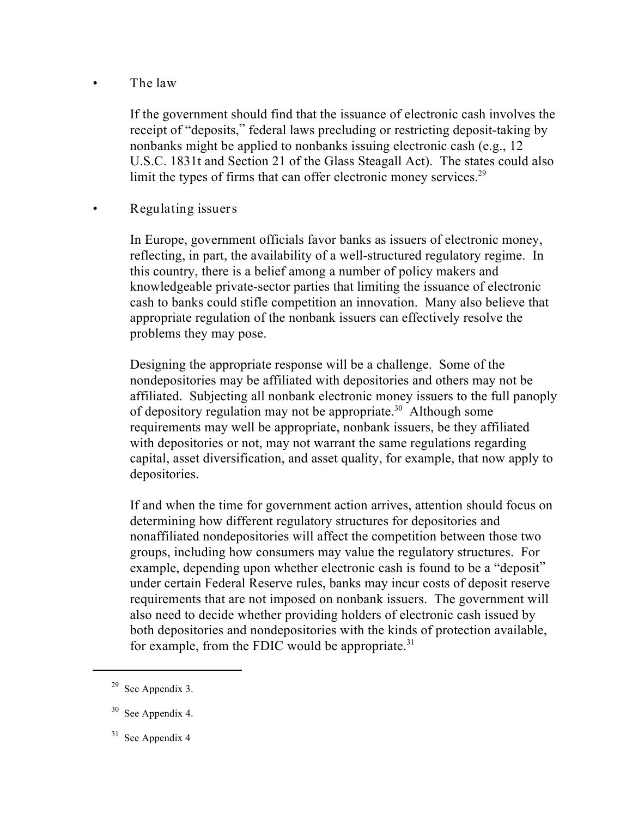### • **The law**

If the government should find that the issuance of electronic cash involves the receipt of "deposits," federal laws precluding or restricting deposit-taking by nonbanks might be applied to nonbanks issuing electronic cash (e.g., 12 U.S.C. 1831t and Section 21 of the Glass Steagall Act). The states could also limit the types of firms that can offer electronic money services.<sup>29</sup>

### • **Regulating issuers**

In Europe, government officials favor banks as issuers of electronic money, reflecting, in part, the availability of a well-structured regulatory regime. In this country, there is a belief among a number of policy makers and knowledgeable private-sector parties that limiting the issuance of electronic cash to banks could stifle competition an innovation. Many also believe that appropriate regulation of the nonbank issuers can effectively resolve the problems they may pose.

Designing the appropriate response will be a challenge. Some of the nondepositories may be affiliated with depositories and others may not be affiliated. Subjecting all nonbank electronic money issuers to the full panoply of depository regulation may not be appropriate.<sup>30</sup> Although some requirements may well be appropriate, nonbank issuers, be they affiliated with depositories or not, may not warrant the same regulations regarding capital, asset diversification, and asset quality, for example, that now apply to depositories.

If and when the time for government action arrives, attention should focus on determining how different regulatory structures for depositories and nonaffiliated nondepositories will affect the competition between those two groups, including how consumers may value the regulatory structures. For example, depending upon whether electronic cash is found to be a "deposit" under certain Federal Reserve rules, banks may incur costs of deposit reserve requirements that are not imposed on nonbank issuers. The government will also need to decide whether providing holders of electronic cash issued by both depositories and nondepositories with the kinds of protection available, for example, from the FDIC would be appropriate. $31$ 

 $29$  See Appendix 3.

 $30$  See Appendix 4.

 $31$  See Appendix 4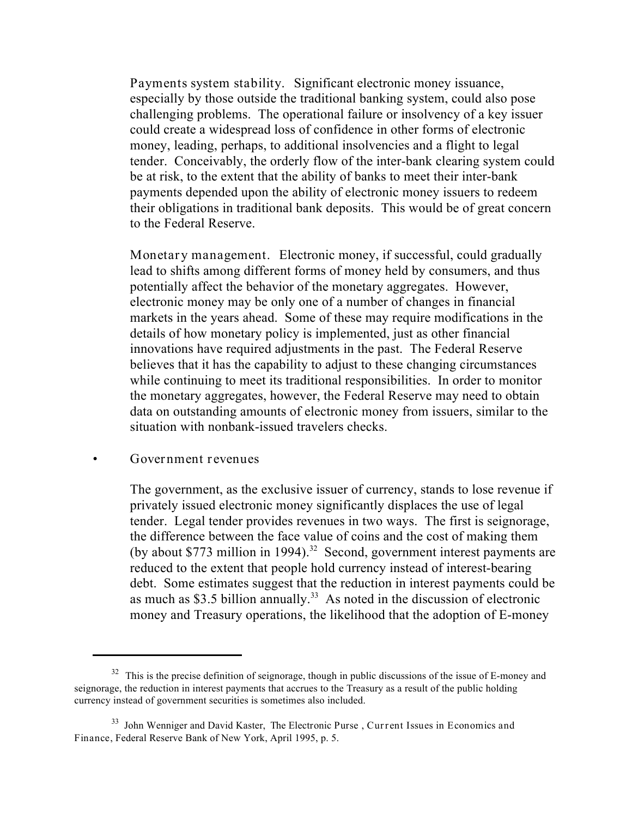**Payments system stability.** Significant electronic money issuance, especially by those outside the traditional banking system, could also pose challenging problems. The operational failure or insolvency of a key issuer could create a widespread loss of confidence in other forms of electronic money, leading, perhaps, to additional insolvencies and a flight to legal tender. Conceivably, the orderly flow of the inter-bank clearing system could be at risk, to the extent that the ability of banks to meet their inter-bank payments depended upon the ability of electronic money issuers to redeem their obligations in traditional bank deposits. This would be of great concern to the Federal Reserve.

**Monetary management.** Electronic money, if successful, could gradually lead to shifts among different forms of money held by consumers, and thus potentially affect the behavior of the monetary aggregates. However, electronic money may be only one of a number of changes in financial markets in the years ahead. Some of these may require modifications in the details of how monetary policy is implemented, just as other financial innovations have required adjustments in the past. The Federal Reserve believes that it has the capability to adjust to these changing circumstances while continuing to meet its traditional responsibilities. In order to monitor the monetary aggregates, however, the Federal Reserve may need to obtain data on outstanding amounts of electronic money from issuers, similar to the situation with nonbank-issued travelers checks.

#### **• Government revenues**

The government, as the exclusive issuer of currency, stands to lose revenue if privately issued electronic money significantly displaces the use of legal tender. Legal tender provides revenues in two ways. The first is seignorage, the difference between the face value of coins and the cost of making them (by about \$773 million in 1994).<sup>32</sup> Second, government interest payments are reduced to the extent that people hold currency instead of interest-bearing debt. Some estimates suggest that the reduction in interest payments could be as much as \$3.5 billion annually.<sup>33</sup> As noted in the discussion of electronic money and Treasury operations, the likelihood that the adoption of E-money

 $32$  This is the precise definition of seignorage, though in public discussions of the issue of E-money and seignorage, the reduction in interest payments that accrues to the Treasury as a result of the public holding currency instead of government securities is sometimes also included.

John Wenniger and David Kaster, *The Electronic Purse* , **Current Issues in Economics and** <sup>33</sup> **Finance**, Federal Reserve Bank of New York, April 1995, p. 5.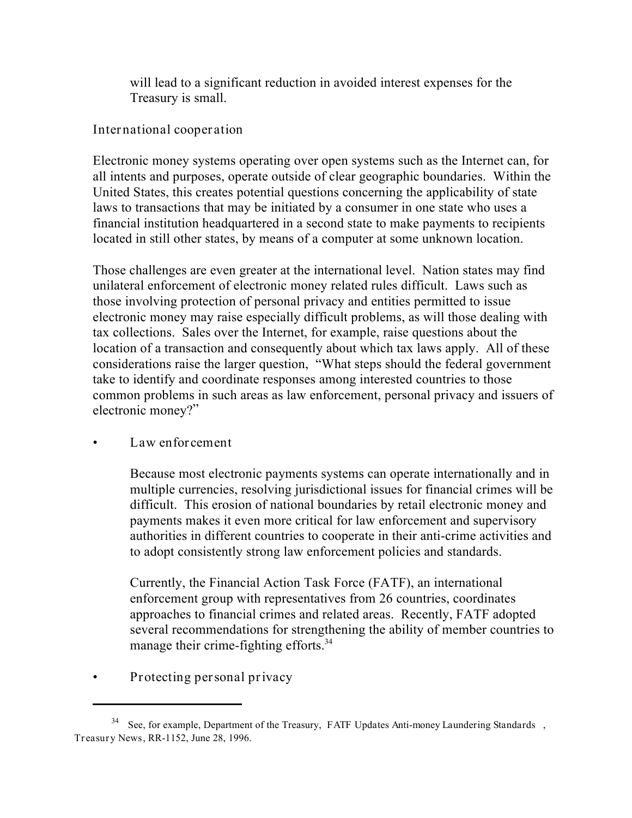will lead to a significant reduction in avoided interest expenses for the Treasury is small.

**International cooperation**

Electronic money systems operating over open systems such as the Internet can, for all intents and purposes, operate outside of clear geographic boundaries. Within the United States, this creates potential questions concerning the applicability of state laws to transactions that may be initiated by a consumer in one state who uses a financial institution headquartered in a second state to make payments to recipients located in still other states, by means of a computer at some unknown location.

Those challenges are even greater at the international level. Nation states may find unilateral enforcement of electronic money related rules difficult. Laws such as those involving protection of personal privacy and entities permitted to issue electronic money may raise especially difficult problems, as will those dealing with tax collections. Sales over the Internet, for example, raise questions about the location of a transaction and consequently about which tax laws apply. All of these considerations raise the larger question, "What steps should the federal government take to identify and coordinate responses among interested countries to those common problems in such areas as law enforcement, personal privacy and issuers of electronic money?"

### • **Law enforcement**

Because most electronic payments systems can operate internationally and in multiple currencies, resolving jurisdictional issues for financial crimes will be difficult. This erosion of national boundaries by retail electronic money and payments makes it even more critical for law enforcement and supervisory authorities in different countries to cooperate in their anti-crime activities and to adopt consistently strong law enforcement policies and standards.

Currently, the Financial Action Task Force (FATF), an international enforcement group with representatives from 26 countries, coordinates approaches to financial crimes and related areas. Recently, FATF adopted several recommendations for strengthening the ability of member countries to manage their crime-fighting efforts.<sup>34</sup>

• **Protecting personal privacy**

See, for example, Department of the Treasury, *FATF Updates Anti-money Laundering Standards* , 34 **Treasury News**, RR-1152, June 28, 1996.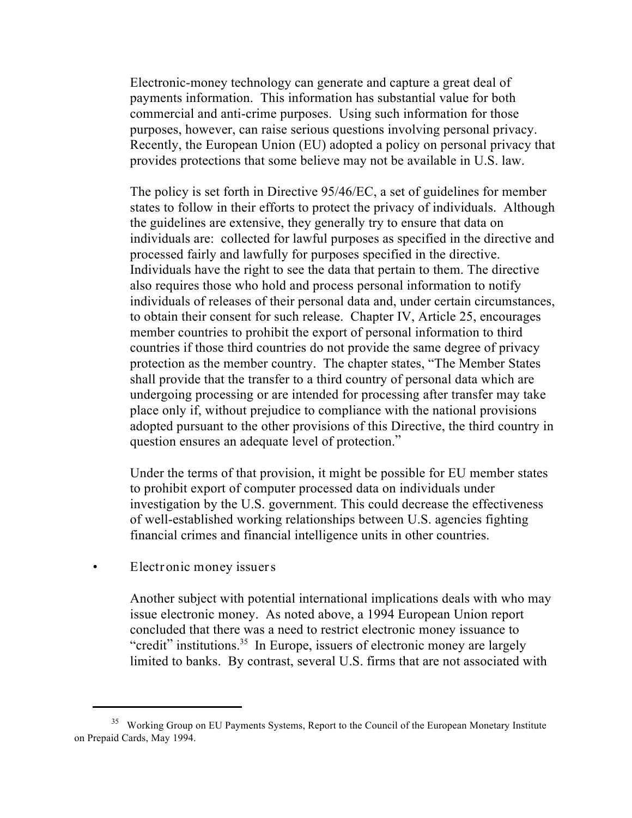Electronic-money technology can generate and capture a great deal of payments information. This information has substantial value for both commercial and anti-crime purposes. Using such information for those purposes, however, can raise serious questions involving personal privacy. Recently, the European Union (EU) adopted a policy on personal privacy that provides protections that some believe may not be available in U.S. law.

The policy is set forth in Directive 95/46/EC, a set of guidelines for member states to follow in their efforts to protect the privacy of individuals. Although the guidelines are extensive, they generally try to ensure that data on individuals are: collected for lawful purposes as specified in the directive and processed fairly and lawfully for purposes specified in the directive. Individuals have the right to see the data that pertain to them. The directive also requires those who hold and process personal information to notify individuals of releases of their personal data and, under certain circumstances, to obtain their consent for such release. Chapter IV, Article 25, encourages member countries to prohibit the export of personal information to third countries if those third countries do not provide the same degree of privacy protection as the member country. The chapter states, "The Member States shall provide that the transfer to a third country of personal data which are undergoing processing or are intended for processing after transfer may take place only if, without prejudice to compliance with the national provisions adopted pursuant to the other provisions of this Directive, the third country in question ensures an adequate level of protection."

Under the terms of that provision, it might be possible for EU member states to prohibit export of computer processed data on individuals under investigation by the U.S. government. This could decrease the effectiveness of well-established working relationships between U.S. agencies fighting financial crimes and financial intelligence units in other countries.

• **Electronic money issuers**

Another subject with potential international implications deals with who may issue electronic money. As noted above, a 1994 European Union report concluded that there was a need to restrict electronic money issuance to "credit" institutions.<sup>35</sup> In Europe, issuers of electronic money are largely limited to banks. By contrast, several U.S. firms that are not associated with

<sup>&</sup>lt;sup>35</sup> Working Group on EU Payments Systems, Report to the Council of the European Monetary Institute on Prepaid Cards, May 1994.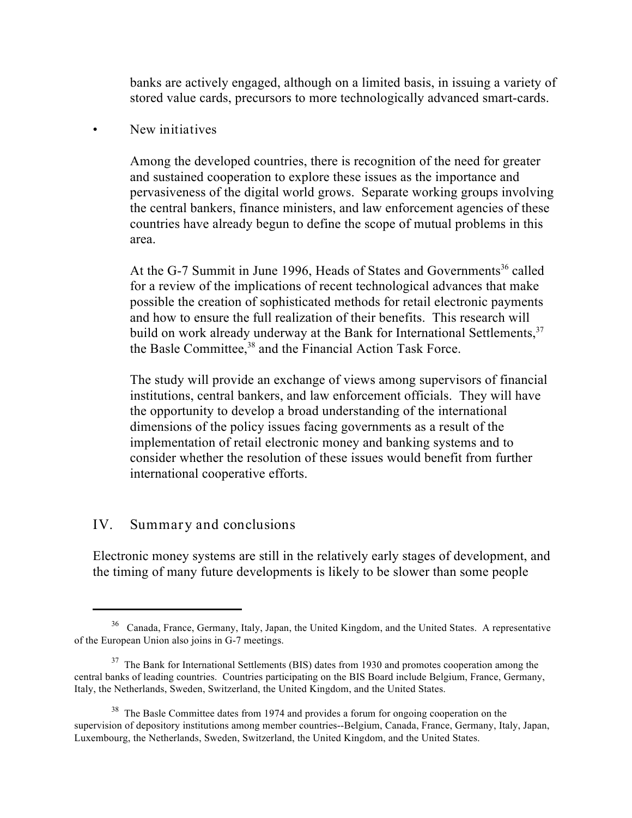banks are actively engaged, although on a limited basis, in issuing a variety of stored value cards, precursors to more technologically advanced smart-cards.

### • **New initiatives**

Among the developed countries, there is recognition of the need for greater and sustained cooperation to explore these issues as the importance and pervasiveness of the digital world grows. Separate working groups involving the central bankers, finance ministers, and law enforcement agencies of these countries have already begun to define the scope of mutual problems in this area.

At the G-7 Summit in June 1996, Heads of States and Governments<sup>36</sup> called for a review of the implications of recent technological advances that make possible the creation of sophisticated methods for retail electronic payments and how to ensure the full realization of their benefits. This research will build on work already underway at the Bank for International Settlements,<sup>37</sup> the Basle Committee,<sup>38</sup> and the Financial Action Task Force.

The study will provide an exchange of views among supervisors of financial institutions, central bankers, and law enforcement officials. They will have the opportunity to develop a broad understanding of the international dimensions of the policy issues facing governments as a result of the implementation of retail electronic money and banking systems and to consider whether the resolution of these issues would benefit from further international cooperative efforts.

### **IV. Summary and conclusions**

Electronic money systems are still in the relatively early stages of development, and the timing of many future developments is likely to be slower than some people

<sup>&</sup>lt;sup>36</sup> Canada, France, Germany, Italy, Japan, the United Kingdom, and the United States. A representative of the European Union also joins in G-7 meetings.

<sup>&</sup>lt;sup>37</sup> The Bank for International Settlements (BIS) dates from 1930 and promotes cooperation among the central banks of leading countries. Countries participating on the BIS Board include Belgium, France, Germany, Italy, the Netherlands, Sweden, Switzerland, the United Kingdom, and the United States.

 $38$  The Basle Committee dates from 1974 and provides a forum for ongoing cooperation on the supervision of depository institutions among member countries--Belgium, Canada, France, Germany, Italy, Japan, Luxembourg, the Netherlands, Sweden, Switzerland, the United Kingdom, and the United States.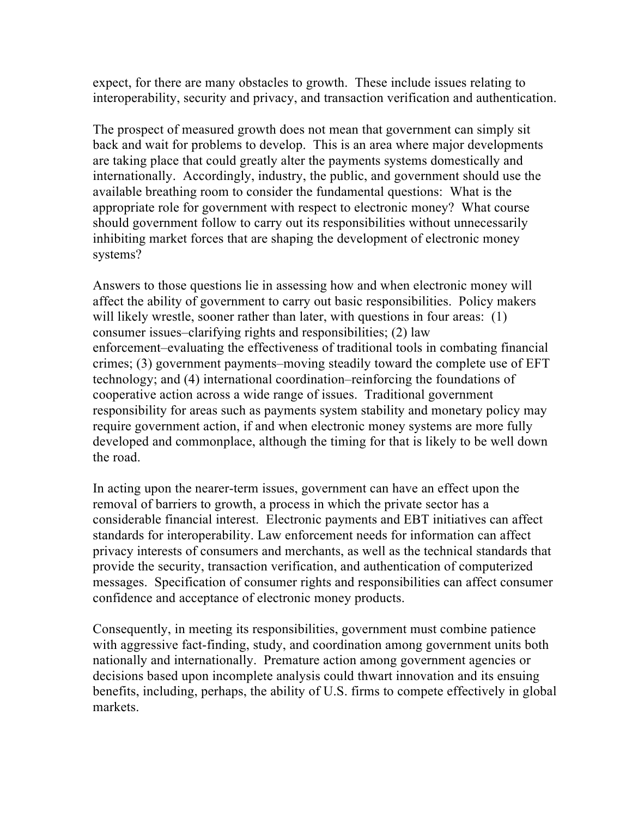expect, for there are many obstacles to growth. These include issues relating to interoperability, security and privacy, and transaction verification and authentication.

The prospect of measured growth does not mean that government can simply sit back and wait for problems to develop. This is an area where major developments are taking place that could greatly alter the payments systems domestically and internationally. Accordingly, industry, the public, and government should use the available breathing room to consider the fundamental questions: What is the appropriate role for government with respect to electronic money? What course should government follow to carry out its responsibilities without unnecessarily inhibiting market forces that are shaping the development of electronic money systems?

Answers to those questions lie in assessing how and when electronic money will affect the ability of government to carry out basic responsibilities. Policy makers will likely wrestle, sooner rather than later, with questions in four areas: (1) consumer issues–clarifying rights and responsibilities; (2) law enforcement–evaluating the effectiveness of traditional tools in combating financial crimes; (3) government payments–moving steadily toward the complete use of EFT technology; and (4) international coordination–reinforcing the foundations of cooperative action across a wide range of issues. Traditional government responsibility for areas such as payments system stability and monetary policy may require government action, if and when electronic money systems are more fully developed and commonplace, although the timing for that is likely to be well down the road.

In acting upon the nearer-term issues, government can have an effect upon the removal of barriers to growth, a process in which the private sector has a considerable financial interest. Electronic payments and EBT initiatives can affect standards for interoperability. Law enforcement needs for information can affect privacy interests of consumers and merchants, as well as the technical standards that provide the security, transaction verification, and authentication of computerized messages. Specification of consumer rights and responsibilities can affect consumer confidence and acceptance of electronic money products.

Consequently, in meeting its responsibilities, government must combine patience with aggressive fact-finding, study, and coordination among government units both nationally and internationally. Premature action among government agencies or decisions based upon incomplete analysis could thwart innovation and its ensuing benefits, including, perhaps, the ability of U.S. firms to compete effectively in global markets.